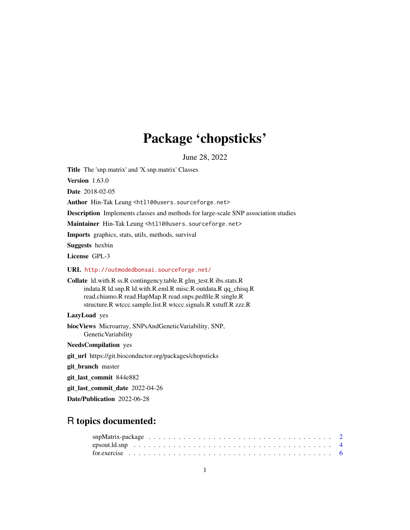# Package 'chopsticks'

June 28, 2022

<span id="page-0-0"></span>Title The 'snp.matrix' and 'X.snp.matrix' Classes

Version 1.63.0

Date 2018-02-05

Author Hin-Tak Leung <htl10@users.sourceforge.net>

Description Implements classes and methods for large-scale SNP association studies

Maintainer Hin-Tak Leung <htl10@users.sourceforge.net>

Imports graphics, stats, utils, methods, survival

Suggests hexbin

License GPL-3

URL <http://outmodedbonsai.sourceforge.net/>

Collate ld.with.R ss.R contingency.table.R glm\_test.R ibs.stats.R indata.R ld.snp.R ld.with.R.eml.R misc.R outdata.R qq\_chisq.R read.chiamo.R read.HapMap.R read.snps.pedfile.R single.R structure.R wtccc.sample.list.R wtccc.signals.R xstuff.R zzz.R

# LazyLoad yes

biocViews Microarray, SNPsAndGeneticVariability, SNP, GeneticVariability

NeedsCompilation yes

git\_url https://git.bioconductor.org/packages/chopsticks

git\_branch master

git\_last\_commit 844e882

git last commit date 2022-04-26

Date/Publication 2022-06-28

# R topics documented: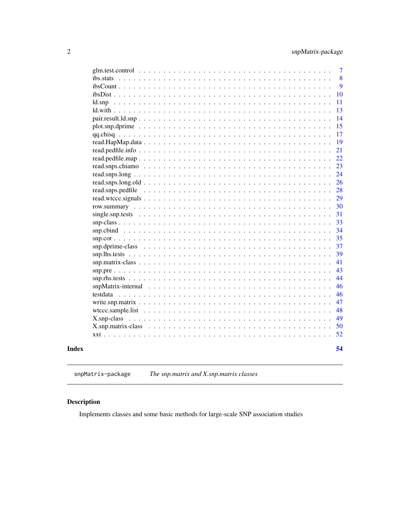<span id="page-1-0"></span>

|          | $\overline{7}$ |
|----------|----------------|
|          | 8              |
|          | 9              |
|          | 10             |
|          | 11             |
|          | 13             |
|          | 14             |
|          | 15             |
|          | 17             |
|          | 19             |
|          | 21             |
|          | 22             |
|          | 23             |
|          | 24             |
|          | 26             |
|          | 28             |
|          | 29             |
|          | 30             |
|          | 31             |
|          | 33             |
|          | 34             |
|          | 35             |
|          | 37             |
|          | 39             |
|          | 41             |
|          | 43             |
|          | 44             |
|          | 46             |
| testdata | 46             |
|          | 47             |
|          | 48             |
|          | 49             |
|          | 50             |
|          | 52             |
|          |                |
|          | 54             |
|          |                |

**Index** 

snpMatrix-package The snp.matrix and X.snp.matrix classes

# **Description**

Implements classes and some basic methods for large-scale SNP association studies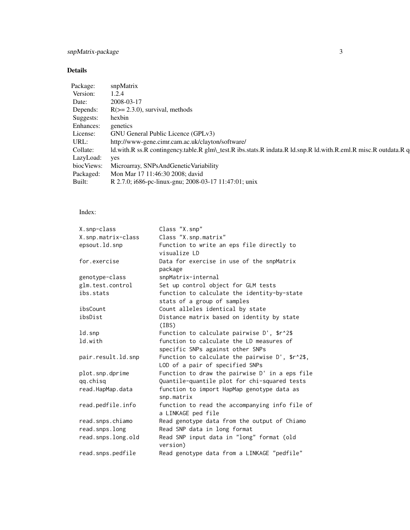# snpMatrix-package 3

# Details

| snpMatrix                                                                                                       |
|-----------------------------------------------------------------------------------------------------------------|
| 1.2.4                                                                                                           |
| 2008-03-17                                                                                                      |
| $R(>= 2.3.0)$ , survival, methods                                                                               |
| hexbin                                                                                                          |
| genetics                                                                                                        |
| GNU General Public Licence (GPLv3)                                                                              |
| http://www-gene.cimr.cam.ac.uk/clayton/software/                                                                |
| Id.with.R ss.R contingency.table.R glm\_test.R ibs.stats.R indata.R ld.snp.R ld.with.R.eml.R misc.R outdata.R q |
| LazyLoad: yes                                                                                                   |
| Microarray, SNPsAndGeneticVariability                                                                           |
| Mon Mar 17 11:46:30 2008; david                                                                                 |
| R 2.7.0; i686-pc-linux-gnu; 2008-03-17 11:47:01; unix                                                           |
|                                                                                                                 |

# Index:

| X.snp-class        | Class "X.snp"                                       |
|--------------------|-----------------------------------------------------|
| X.snp.matrix-class | Class "X.snp.matrix"                                |
| epsout.ld.snp      | Function to write an eps file directly to           |
|                    | visualize LD                                        |
| for.exercise       | Data for exercise in use of the snpMatrix           |
|                    | package                                             |
| genotype-class     | snpMatrix-internal                                  |
| glm.test.control   | Set up control object for GLM tests                 |
| ibs.stats          | function to calculate the identity-by-state         |
|                    | stats of a group of samples                         |
| ibsCount           | Count alleles identical by state                    |
| ibsDist            | Distance matrix based on identity by state          |
|                    | (IBS)                                               |
| ld.snp             | Function to calculate pairwise $D'$ , $\frac{2}{3}$ |
| ld.with            | function to calculate the LD measures of            |
|                    | specific SNPs against other SNPs                    |
| pair.result.ld.snp | Function to calculate the pairwise D', \$r^2\$,     |
|                    | LOD of a pair of specified SNPs                     |
| plot.snp.dprime    | Function to draw the pairwise D' in a eps file      |
| qq.chisq           | Quantile-quantile plot for chi-squared tests        |
| read.HapMap.data   | function to import HapMap genotype data as          |
|                    | snp.matrix                                          |
| read.pedfile.info  | function to read the accompanying info file of      |
|                    | a LINKAGE ped file                                  |
| read.snps.chiamo   | Read genotype data from the output of Chiamo        |
| read.snps.long     | Read SNP data in long format                        |
| read.snps.long.old | Read SNP input data in "long" format (old           |
|                    | version)                                            |
| read.snps.pedfile  | Read genotype data from a LINKAGE "pedfile"         |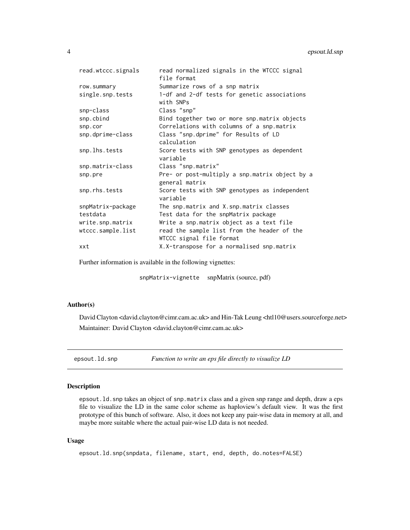<span id="page-3-0"></span>

| read.wtccc.signals | read normalized signals in the WTCCC signal<br>file format              |
|--------------------|-------------------------------------------------------------------------|
| row.summary        | Summarize rows of a snp matrix                                          |
| single.snp.tests   | 1-df and 2-df tests for genetic associations<br>with SNPs               |
| snp-class          | Class "snp"                                                             |
| snp.cbind          | Bind together two or more snp.matrix objects                            |
| snp.cor            | Correlations with columns of a snp.matrix                               |
| snp.dprime-class   | Class "snp.dprime" for Results of LD<br>calculation                     |
| snp.lhs.tests      | Score tests with SNP genotypes as dependent<br>variable                 |
| snp.matrix-class   | Class "snp.matrix"                                                      |
| snp.pre            | Pre- or post-multiply a snp.matrix object by a<br>general matrix        |
| snp.rhs.tests      | Score tests with SNP genotypes as independent<br>variable               |
| snpMatrix-package  | The snp.matrix and X.snp.matrix classes                                 |
| testdata           | Test data for the snpMatrix package                                     |
| write.snp.matrix   | Write a snp.matrix object as a text file                                |
| wtccc.sample.list  | read the sample list from the header of the<br>WTCCC signal file format |
| xxt                | X.X-transpose for a normalised snp.matrix                               |
|                    |                                                                         |

Further information is available in the following vignettes:

snpMatrix-vignette snpMatrix (source, pdf)

# Author(s)

David Clayton <david.clayton@cimr.cam.ac.uk> and Hin-Tak Leung <htl10@users.sourceforge.net> Maintainer: David Clayton <david.clayton@cimr.cam.ac.uk>

epsout.ld.snp *Function to write an eps file directly to visualize LD*

# Description

epsout.ld.snp takes an object of snp.matrix class and a given snp range and depth, draw a eps file to visualize the LD in the same color scheme as haploview's default view. It was the first prototype of this bunch of software. Also, it does not keep any pair-wise data in memory at all, and maybe more suitable where the actual pair-wise LD data is not needed.

#### Usage

```
epsout.ld.snp(snpdata, filename, start, end, depth, do.notes=FALSE)
```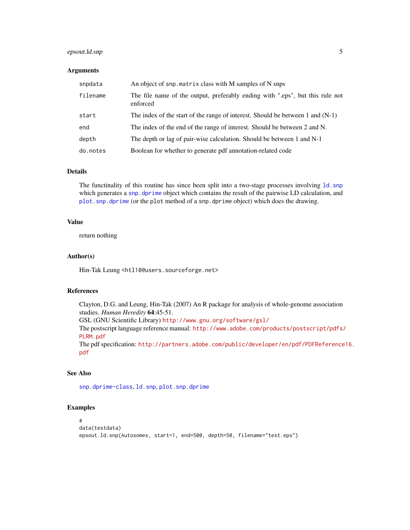# <span id="page-4-0"></span>epsout.ld.snp 5

# Arguments

| snpdata  | An object of snp. matrix class with M samples of N snps                                  |
|----------|------------------------------------------------------------------------------------------|
| filename | The file name of the output, preferably ending with "eps", but this rule not<br>enforced |
| start    | The index of the start of the range of interest. Should be between 1 and $(N-1)$         |
| end      | The index of the end of the range of interest. Should be between 2 and N.                |
| depth    | The depth or lag of pair-wise calculation. Should be between 1 and N-1                   |
| do.notes | Boolean for whether to generate pdf annotation-related code                              |

#### Details

The functinality of this routine has since been split into a two-stage processes involving [ld.snp](#page-10-1) which generates a snp. dprime object which contains the result of the pairwise LD calculation, and [plot.snp.dprime](#page-14-1) (or the plot method of a snp.dprime object) which does the drawing.

# Value

return nothing

#### Author(s)

Hin-Tak Leung <htl10@users.sourceforge.net>

# References

Clayton, D.G. and Leung, Hin-Tak (2007) An R package for analysis of whole-genome association studies. *Human Heredity* 64:45-51. GSL (GNU Scientific Library) <http://www.gnu.org/software/gsl/> The postscript language reference manual: [http://www.adobe.com/products/postscript/pdfs/](http://www.adobe.com/products/postscript/pdfs/PLRM.pdf) [PLRM.pdf](http://www.adobe.com/products/postscript/pdfs/PLRM.pdf) The pdf specification: [http://partners.adobe.com/public/developer/en/pdf/PDFReference](http://partners.adobe.com/public/developer/en/pdf/PDFReference16.pdf)16. [pdf](http://partners.adobe.com/public/developer/en/pdf/PDFReference16.pdf)

# See Also

[snp.dprime-class](#page-36-1), [ld.snp](#page-10-1), [plot.snp.dprime](#page-14-1)

#### Examples

```
#
data(testdata)
epsout.ld.snp(Autosomes, start=1, end=500, depth=50, filename="test.eps")
```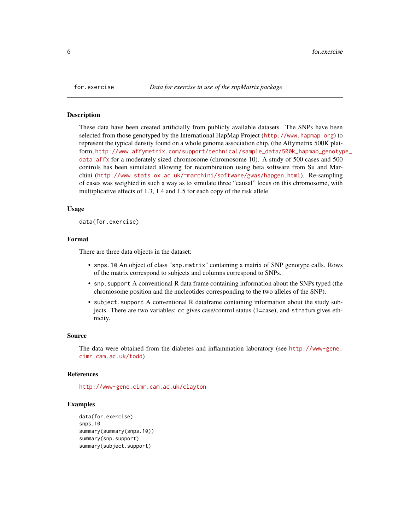<span id="page-5-0"></span>

#### **Description**

These data have been created artificially from publicly available datasets. The SNPs have been selected from those genotyped by the International HapMap Project (<http://www.hapmap.org>) to represent the typical density found on a whole genome association chip, (the Affymetrix 500K platform, [http://www.affymetrix.com/support/technical/sample\\_data/500k\\_hapmap\\_genotyp](http://www.affymetrix.com/support/technical/sample_data/500k_hapmap_genotype_data.affx)e\_ [data.affx](http://www.affymetrix.com/support/technical/sample_data/500k_hapmap_genotype_data.affx) for a moderately sized chromosome (chromosome 10). A study of 500 cases and 500 controls has been simulated allowing for recombination using beta software from Su and Marchini (<http://www.stats.ox.ac.uk/~marchini/software/gwas/hapgen.html>). Re-sampling of cases was weighted in such a way as to simulate three "causal" locus on this chromosome, with multiplicative effects of 1.3, 1.4 and 1.5 for each copy of the risk allele.

#### Usage

data(for.exercise)

# Format

There are three data objects in the dataset:

- snps.10 An object of class "snp.matrix" containing a matrix of SNP genotype calls. Rows of the matrix correspond to subjects and columns correspond to SNPs.
- snp.support A conventional R data frame containing information about the SNPs typed (the chromosome position and the nucleotides corresponding to the two alleles of the SNP).
- subject.support A conventional R dataframe containing information about the study subjects. There are two variables; cc gives case/control status (1=case), and stratum gives ethnicity.

#### Source

The data were obtained from the diabetes and inflammation laboratory (see [http://www-gene.](http://www-gene.cimr.cam.ac.uk/todd) [cimr.cam.ac.uk/todd](http://www-gene.cimr.cam.ac.uk/todd))

#### References

<http://www-gene.cimr.cam.ac.uk/clayton>

#### Examples

```
data(for.exercise)
snps.10
summary(summary(snps.10))
summary(snp.support)
summary(subject.support)
```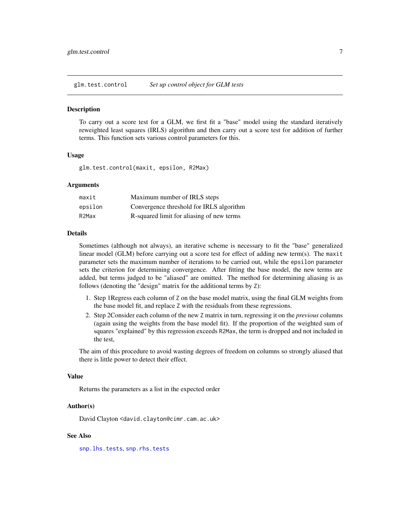<span id="page-6-1"></span><span id="page-6-0"></span>glm.test.control *Set up control object for GLM tests*

#### **Description**

To carry out a score test for a GLM, we first fit a "base" model using the standard iteratively reweighted least squares (IRLS) algorithm and then carry out a score test for addition of further terms. This function sets various control parameters for this.

#### Usage

glm.test.control(maxit, epsilon, R2Max)

#### Arguments

| maxit   | Maximum number of IRLS steps              |
|---------|-------------------------------------------|
| epsilon | Convergence threshold for IRLS algorithm  |
| R2Max   | R-squared limit for aliasing of new terms |

#### Details

Sometimes (although not always), an iterative scheme is necessary to fit the "base" generalized linear model (GLM) before carrying out a score test for effect of adding new term(s). The maxit parameter sets the maximum number of iterations to be carried out, while the epsilon parameter sets the criterion for determining convergence. After fitting the base model, the new terms are added, but terms judged to be "aliased" are omitted. The method for determining aliasing is as follows (denoting the "design" matrix for the additional terms by Z):

- 1. Step 1Regress each column of Z on the base model matrix, using the final GLM weights from the base model fit, and replace Z with the residuals from these regressions.
- 2. Step 2Consider each column of the new Z matrix in turn, regressing it on the *previous* columns (again using the weights from the base model fit). If the proportion of the weighted sum of squares "explained" by this regression exceeds R2Max, the term is dropped and not included in the test,

The aim of this procedure to avoid wasting degrees of freedom on columns so strongly aliased that there is little power to detect their effect.

#### Value

Returns the parameters as a list in the expected order

#### Author(s)

David Clayton <david.clayton@cimr.cam.ac.uk>

#### See Also

[snp.lhs.tests](#page-38-1), [snp.rhs.tests](#page-43-1)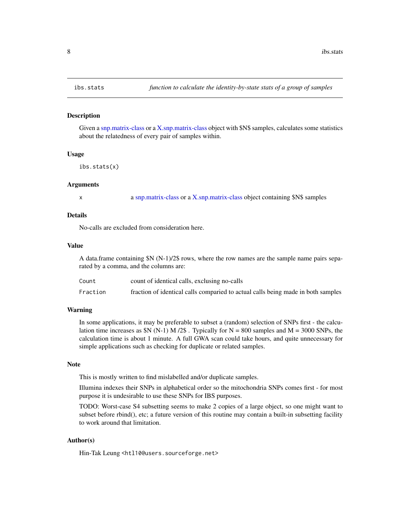#### Description

Given a [snp.matrix-class](#page-40-1) or a [X.snp.matrix-class](#page-49-1) object with \$N\$ samples, calculates some statistics about the relatedness of every pair of samples within.

#### Usage

ibs.stats(x)

#### Arguments

x a [snp.matrix-class](#page-40-1) or a [X.snp.matrix-class](#page-49-1) object containing \$N\$ samples

#### Details

No-calls are excluded from consideration here.

#### Value

A data.frame containing \$N (N-1)/2\$ rows, where the row names are the sample name pairs separated by a comma, and the columns are:

| Count    | count of identical calls, exclusing no-calls                                     |
|----------|----------------------------------------------------------------------------------|
| Fraction | fraction of identical calls comparied to actual calls being made in both samples |

#### Warning

In some applications, it may be preferable to subset a (random) selection of SNPs first - the calculation time increases as  $N(N-1) M / 2$ . Typically for  $N = 800$  samples and  $M = 3000$  SNPs, the calculation time is about 1 minute. A full GWA scan could take hours, and quite unnecessary for simple applications such as checking for duplicate or related samples.

# Note

This is mostly written to find mislabelled and/or duplicate samples.

Illumina indexes their SNPs in alphabetical order so the mitochondria SNPs comes first - for most purpose it is undesirable to use these SNPs for IBS purposes.

TODO: Worst-case S4 subsetting seems to make 2 copies of a large object, so one might want to subset before rbind(), etc; a future version of this routine may contain a built-in subsetting facility to work around that limitation.

# Author(s)

Hin-Tak Leung <htl10@users.sourceforge.net>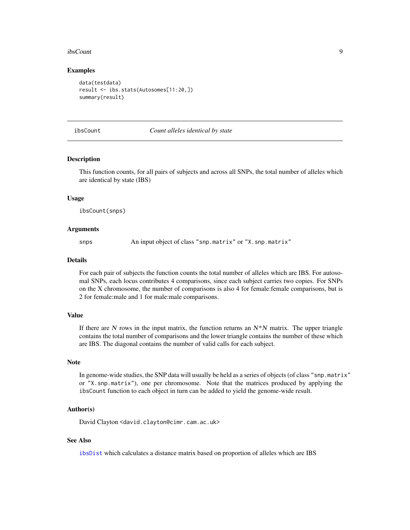#### <span id="page-8-0"></span>ibsCount 9

#### Examples

```
data(testdata)
result <- ibs.stats(Autosomes[11:20,])
summary(result)
```
#### <span id="page-8-1"></span>ibsCount *Count alleles identical by state*

#### **Description**

This function counts, for all pairs of subjects and across all SNPs, the total number of alleles which are identical by state (IBS)

#### Usage

ibsCount(snps)

#### Arguments

snps An input object of class "snp.matrix" or "X.snp.matrix"

#### Details

For each pair of subjects the function counts the total number of alleles which are IBS. For autosomal SNPs, each locus contributes 4 comparisons, since each subject carries two copies. For SNPs on the X chromosome, the number of comparisons is also 4 for female:female comparisons, but is 2 for female:male and 1 for male:male comparisons.

#### Value

If there are N rows in the input matrix, the function returns an  $N^*N$  matrix. The upper triangle contains the total number of comparisons and the lower triangle contains the number of these which are IBS. The diagonal contains the number of valid calls for each subject.

#### **Note**

In genome-wide studies, the SNP data will usually be held as a series of objects (of class "snp.matrix" or "X.snp.matrix"), one per chromosome. Note that the matrices produced by applying the ibsCount function to each object in turn can be added to yield the genome-wide result.

#### Author(s)

David Clayton <david.clayton@cimr.cam.ac.uk>

# See Also

[ibsDist](#page-9-1) which calculates a distance matrix based on proportion of alleles which are IBS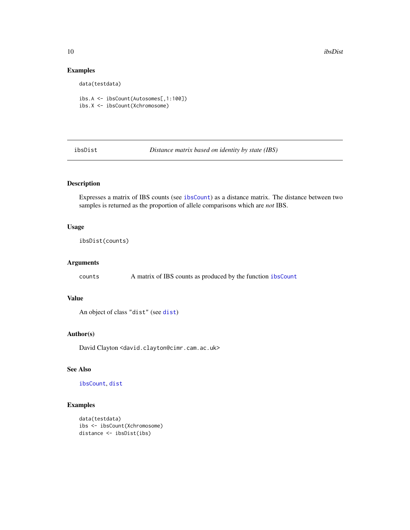<span id="page-9-0"></span>10 ibsDist

# Examples

data(testdata)

ibs.A <- ibsCount(Autosomes[,1:100]) ibs.X <- ibsCount(Xchromosome)

<span id="page-9-1"></span>ibsDist *Distance matrix based on identity by state (IBS)*

# Description

Expresses a matrix of IBS counts (see [ibsCount](#page-8-1)) as a distance matrix. The distance between two samples is returned as the proportion of allele comparisons which are *not* IBS.

# Usage

ibsDist(counts)

## Arguments

counts A matrix of IBS counts as produced by the function [ibsCount](#page-8-1)

# Value

An object of class "dist" (see [dist](#page-0-0))

#### Author(s)

David Clayton <david.clayton@cimr.cam.ac.uk>

# See Also

[ibsCount](#page-8-1), [dist](#page-0-0)

# Examples

```
data(testdata)
ibs <- ibsCount(Xchromosome)
distance <- ibsDist(ibs)
```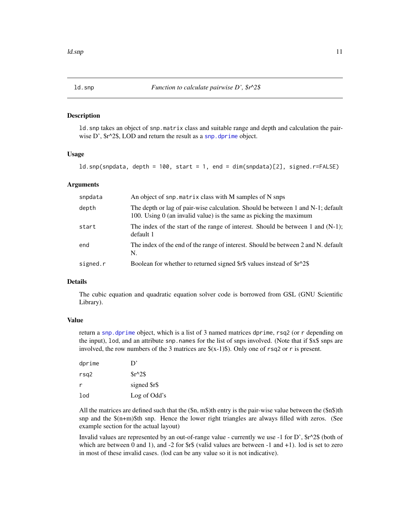<span id="page-10-1"></span><span id="page-10-0"></span>

#### **Description**

ld.snp takes an object of snp.matrix class and suitable range and depth and calculation the pairwise D',  $\frac{6}{5}r^2$ , LOD and return the result as a [snp.dprime](#page-36-1) object.

# Usage

ld.snp(snpdata, depth = 100, start = 1, end = dim(snpdata)[2], signed.r=FALSE)

#### Arguments

| snpdata  | An object of snp. matrix class with M samples of N snps                                                                                                 |
|----------|---------------------------------------------------------------------------------------------------------------------------------------------------------|
| depth    | The depth or lag of pair-wise calculation. Should be between 1 and N-1; default<br>100. Using $0$ (an invalid value) is the same as picking the maximum |
| start    | The index of the start of the range of interest. Should be between 1 and $(N-1)$ ;<br>default 1                                                         |
| end      | The index of the end of the range of interest. Should be between 2 and N. default<br>N.                                                                 |
| signed.r | Boolean for whether to returned signed \$r\$ values instead of \$r^2\$                                                                                  |

# Details

The cubic equation and quadratic equation solver code is borrowed from GSL (GNU Scientific Library).

# Value

return a [snp.dprime](#page-36-1) object, which is a list of 3 named matrices dprime, rsq2 (or r depending on the input), lod, and an attribute snp.names for the list of snps involved. (Note that if \$x\$ snps are involved, the row numbers of the 3 matrices are  $(x-1)\$ . Only one of rsq2 or r is present.

| dprime | D'           |
|--------|--------------|
| rsq2   | $Sr^2S$      |
| r      | signed \$r\$ |
| lod    | Log of Odd's |
|        |              |

All the matrices are defined such that the  $(\$n, m$)$ th entry is the pair-wise value between the  $(\$n$)$ th snp and the \$(n+m)\$th snp. Hence the lower right triangles are always filled with zeros. (See example section for the actual layout)

Invalid values are represented by an out-of-range value - currently we use -1 for D',  $\frac{k}{2}$  (both of which are between 0 and 1), and  $-2$  for  $f\$  (valid values are between  $-1$  and  $+1$ ). Iod is set to zero in most of these invalid cases. (lod can be any value so it is not indicative).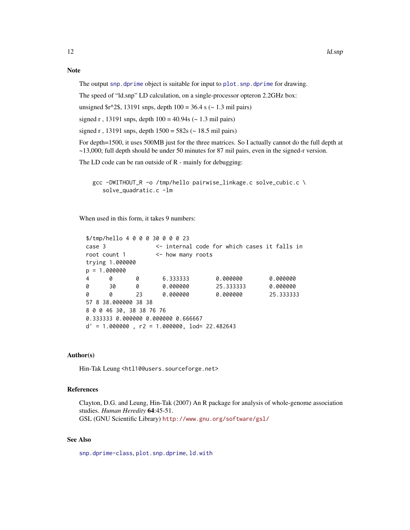#### <span id="page-11-0"></span>Note

The output [snp.dprime](#page-36-1) object is suitable for input to plot. snp.dprime for drawing.

The speed of "ld.snp" LD calculation, on a single-processor opteron 2.2GHz box:

unsigned  $\frac{\text{Im}}{2}, 13191 \text{ s}$  snps, depth  $100 = 36.4 \text{ s}$  (~ 1.3 mil pairs)

signed r, 13191 snps, depth  $100 = 40.94s$  ( $\sim 1.3$  mil pairs)

signed r, 13191 snps, depth  $1500 = 582$ s (~ 18.5 mil pairs)

For depth=1500, it uses 500MB just for the three matrices. So I actually cannot do the full depth at ~13,000; full depth should be under 50 minutes for 87 mil pairs, even in the signed-r version.

The LD code can be ran outside of R - mainly for debugging:

gcc -DWITHOUT\_R -o /tmp/hello pairwise\_linkage.c solve\_cubic.c \ solve\_quadratic.c -lm

When used in this form, it takes 9 numbers:

```
$/tmp/hello 4 0 0 0 30 0 0 0 23
case 3 <- internal code for which cases it falls in
root count 1 <- how many roots
trying 1.000000
p = 1.0000004 0 0 6.333333 0.000000 0.000000
0 30 0 0.000000 25.333333 0.000000
0 0 23 0.000000 0.000000 25.333333
57 8 38.000000 38 38
8 0 0 46 30, 38 38 76 76
0.333333 0.000000 0.000000 0.666667
d' = 1.000000, r2 = 1.000000, 10d = 22.482643
```
# Author(s)

Hin-Tak Leung <htl10@users.sourceforge.net>

#### References

Clayton, D.G. and Leung, Hin-Tak (2007) An R package for analysis of whole-genome association studies. *Human Heredity* 64:45-51. GSL (GNU Scientific Library) <http://www.gnu.org/software/gsl/>

#### See Also

[snp.dprime-class](#page-36-1), [plot.snp.dprime](#page-14-1), [ld.with](#page-12-1)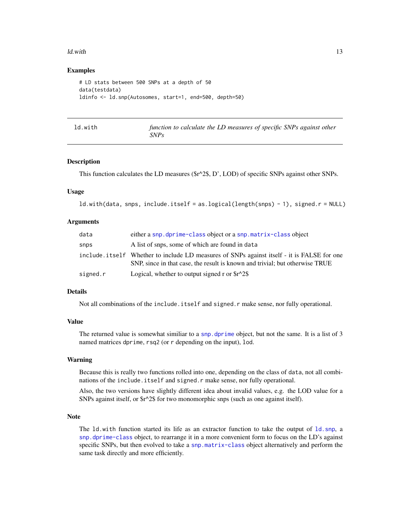#### <span id="page-12-0"></span>ld.with the contract of the contract of the contract of the contract of the contract of the contract of the contract of the contract of the contract of the contract of the contract of the contract of the contract of the co

#### Examples

```
# LD stats between 500 SNPs at a depth of 50
data(testdata)
ldinfo <- ld.snp(Autosomes, start=1, end=500, depth=50)
```
<span id="page-12-1"></span>

| ld.with | function to calculate the LD measures of specific SNPs against other |
|---------|----------------------------------------------------------------------|
|         | SNPs                                                                 |

# Description

This function calculates the LD measures (\$r^2\$, D', LOD) of specific SNPs against other SNPs.

# Usage

```
ld.with(data, snps, include.itself = as.logical(length(snps) - 1), signed.r = NULL)
```
#### Arguments

| data     | either a snp.dprime-class object or a snp.matrix-class object                                                                                                              |
|----------|----------------------------------------------------------------------------------------------------------------------------------------------------------------------------|
| snps     | A list of snps, some of which are found in data                                                                                                                            |
|          | include itself Whether to include LD measures of SNPs against itself - it is FALSE for one<br>SNP, since in that case, the result is known and trivial; but otherwise TRUE |
| signed.r | Logical, whether to output signed r or $\frac{\sqrt{2}}{8}$                                                                                                                |

#### Details

Not all combinations of the include.itself and signed.r make sense, nor fully operational.

#### Value

The returned value is somewhat similiar to a [snp.dprime](#page-36-1) object, but not the same. It is a list of 3 named matrices dprime, rsq2 (or r depending on the input), lod.

#### Warning

Because this is really two functions rolled into one, depending on the class of data, not all combinations of the include.itself and signed.r make sense, nor fully operational.

Also, the two versions have slightly different idea about invalid values, e.g. the LOD value for a SNPs against itself, or \$r^2\$ for two monomorphic snps (such as one against itself).

#### Note

The ld.with function started its life as an extractor function to take the output of [ld.snp](#page-10-1), a [snp.dprime-class](#page-36-1) object, to rearrange it in a more convenient form to focus on the LD's against specific SNPs, but then evolved to take a [snp.matrix-class](#page-40-1) object alternatively and perform the same task directly and more efficiently.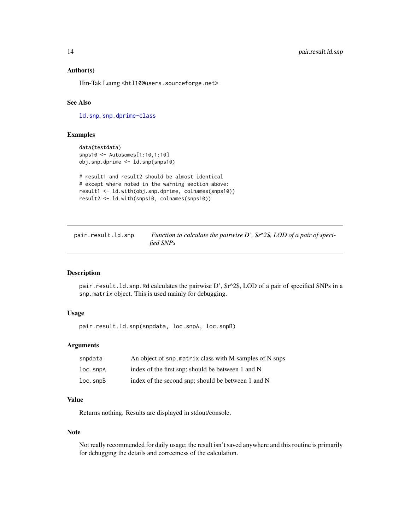### <span id="page-13-0"></span>Author(s)

Hin-Tak Leung <htl10@users.sourceforge.net>

# See Also

[ld.snp](#page-10-1), [snp.dprime-class](#page-36-1)

# Examples

```
data(testdata)
snps10 <- Autosomes[1:10,1:10]
obj.snp.dprime <- ld.snp(snps10)
# result1 and result2 should be almost identical
```

```
# except where noted in the warning section above:
result1 <- ld.with(obj.snp.dprime, colnames(snps10))
result2 <- ld.with(snps10, colnames(snps10))
```

| pair.result.ld.snp | Function to calculate the pairwise D', $\frac{6}{5}r^2\$ , LOD of a pair of speci- |
|--------------------|------------------------------------------------------------------------------------|
|                    | fied SNPs                                                                          |

# Description

pair.result.ld.snp.Rd calculates the pairwise D',  $\frac{6}{5}r^2$ , LOD of a pair of specified SNPs in a snp.matrix object. This is used mainly for debugging.

# Usage

pair.result.ld.snp(snpdata, loc.snpA, loc.snpB)

#### Arguments

| snpdata             | An object of snp. matrix class with M samples of N snps |
|---------------------|---------------------------------------------------------|
| $loc.s$ np $A$      | index of the first snp; should be between 1 and N       |
| $loc.\mathsf{supB}$ | index of the second snp; should be between 1 and N      |

# Value

Returns nothing. Results are displayed in stdout/console.

# Note

Not really recommended for daily usage; the result isn't saved anywhere and this routine is primarily for debugging the details and correctness of the calculation.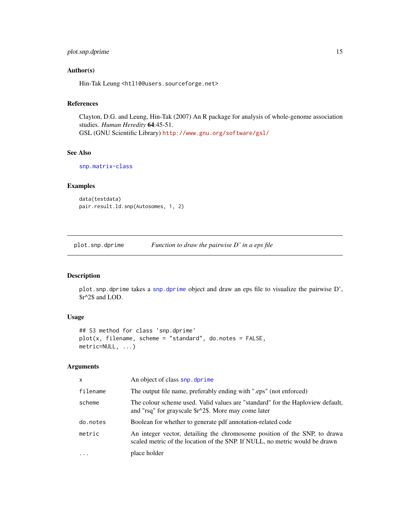# <span id="page-14-0"></span>plot.snp.dprime 15

# Author(s)

Hin-Tak Leung <htl10@users.sourceforge.net>

# References

Clayton, D.G. and Leung, Hin-Tak (2007) An R package for analysis of whole-genome association studies. *Human Heredity* 64:45-51. GSL (GNU Scientific Library) <http://www.gnu.org/software/gsl/>

# See Also

[snp.matrix-class](#page-40-1)

# Examples

```
data(testdata)
pair.result.ld.snp(Autosomes, 1, 2)
```
<span id="page-14-1"></span>plot.snp.dprime *Function to draw the pairwise D' in a eps file*

# Description

plot.snp.dprime takes a [snp.dprime](#page-36-1) object and draw an eps file to visualize the pairwise D', \$r^2\$ and LOD.

# Usage

```
## S3 method for class 'snp.dprime'
plot(x, filename, scheme = "standard", do.notes = FALSE,
metric=NULL, ...)
```
# Arguments

| X        | An object of class snp. dprime                                                                                                                           |
|----------|----------------------------------------------------------------------------------------------------------------------------------------------------------|
| filename | The output file name, preferably ending with ".eps" (not enforced)                                                                                       |
| scheme   | The colour scheme used. Valid values are "standard" for the Haploview default,<br>and "rsq" for grayscale \$r^2\$. More may come later                   |
| do.notes | Boolean for whether to generate pdf annotation-related code                                                                                              |
| metric   | An integer vector, detailing the chromosome position of the SNP, to drawa<br>scaled metric of the location of the SNP. If NULL, no metric would be drawn |
| $\cdot$  | place holder                                                                                                                                             |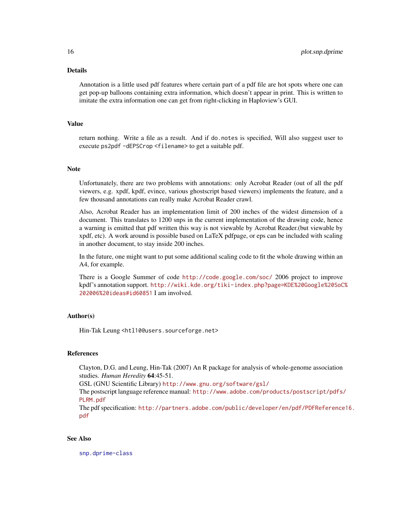# Details

Annotation is a little used pdf features where certain part of a pdf file are hot spots where one can get pop-up balloons containing extra information, which doesn't appear in print. This is written to imitate the extra information one can get from right-clicking in Haploview's GUI.

#### Value

return nothing. Write a file as a result. And if do.notes is specified, Will also suggest user to execute ps2pdf -dEPSCrop <filename> to get a suitable pdf.

# Note

Unfortunately, there are two problems with annotations: only Acrobat Reader (out of all the pdf viewers, e.g. xpdf, kpdf, evince, various ghostscript based viewers) implements the feature, and a few thousand annotations can really make Acrobat Reader crawl.

Also, Acrobat Reader has an implementation limit of 200 inches of the widest dimension of a document. This translates to 1200 snps in the current implementation of the drawing code, hence a warning is emitted that pdf written this way is not viewable by Acrobat Reader.(but viewable by xpdf, etc). A work around is possible based on LaTeX pdfpage, or eps can be included with scaling in another document, to stay inside 200 inches.

In the future, one might want to put some additional scaling code to fit the whole drawing within an A4, for example.

There is a Google Summer of code <http://code.google.com/soc/> 2006 project to improve kpdf's annotation support. [http://wiki.kde.org/tiki-index.php?page=KDE%20Google%20SoC](http://wiki.kde.org/tiki-index.php?page=KDE%20Google%20SoC%202006%20ideas#id60851)% [202006%20ideas#id60851](http://wiki.kde.org/tiki-index.php?page=KDE%20Google%20SoC%202006%20ideas#id60851) I am involved.

#### Author(s)

Hin-Tak Leung <htl10@users.sourceforge.net>

# References

Clayton, D.G. and Leung, Hin-Tak (2007) An R package for analysis of whole-genome association studies. *Human Heredity* 64:45-51.

GSL (GNU Scientific Library) <http://www.gnu.org/software/gsl/>

The postscript language reference manual: [http://www.adobe.com/products/postscript/pdfs/](http://www.adobe.com/products/postscript/pdfs/PLRM.pdf) [PLRM.pdf](http://www.adobe.com/products/postscript/pdfs/PLRM.pdf)

The pdf specification: [http://partners.adobe.com/public/developer/en/pdf/PDFReference](http://partners.adobe.com/public/developer/en/pdf/PDFReference16.pdf)16. [pdf](http://partners.adobe.com/public/developer/en/pdf/PDFReference16.pdf)

# See Also

[snp.dprime-class](#page-36-1)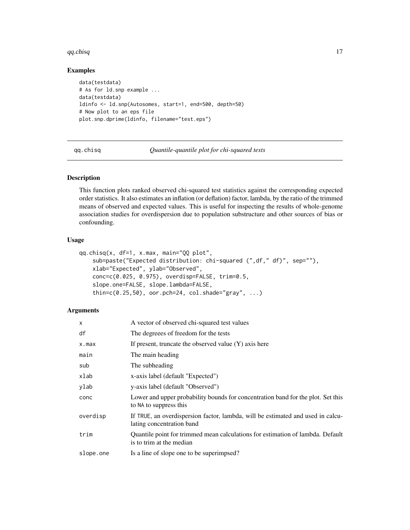#### <span id="page-16-0"></span> $qq.chisq$   $17$

# Examples

```
data(testdata)
# As for ld.snp example ...
data(testdata)
ldinfo <- ld.snp(Autosomes, start=1, end=500, depth=50)
# Now plot to an eps file
plot.snp.dprime(ldinfo, filename="test.eps")
```
qq.chisq *Quantile-quantile plot for chi-squared tests*

#### Description

This function plots ranked observed chi-squared test statistics against the corresponding expected order statistics. It also estimates an inflation (or deflation) factor, lambda, by the ratio of the trimmed means of observed and expected values. This is useful for inspecting the results of whole-genome association studies for overdispersion due to population substructure and other sources of bias or confounding.

#### Usage

```
qq.chisq(x, df=1, x.max, main="QQ plot",
   sub=paste("Expected distribution: chi-squared (",df," df)", sep=""),
   xlab="Expected", ylab="Observed",
   conc=c(0.025, 0.975), overdisp=FALSE, trim=0.5,
    slope.one=FALSE, slope.lambda=FALSE,
    thin=c(0.25,50), oor.pch=24, col.shade="gray", ...)
```
#### Arguments

| $\times$  | A vector of observed chi-squared test values                                                                 |
|-----------|--------------------------------------------------------------------------------------------------------------|
| df        | The degreees of freedom for the tests                                                                        |
| x.max     | If present, truncate the observed value $(Y)$ axis here                                                      |
| main      | The main heading                                                                                             |
| sub       | The subheading                                                                                               |
| xlab      | x-axis label (default "Expected")                                                                            |
| ylab      | y-axis label (default "Observed")                                                                            |
| conc      | Lower and upper probability bounds for concentration band for the plot. Set this<br>to NA to suppress this   |
| overdisp  | If TRUE, an overdispersion factor, lambda, will be estimated and used in calcu-<br>lating concentration band |
| trim      | Quantile point for trimmed mean calculations for estimation of lambda. Default<br>is to trim at the median   |
| slope.one | Is a line of slope one to be superimpsed?                                                                    |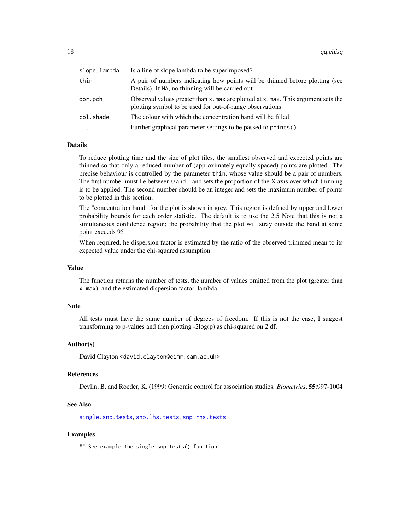<span id="page-17-0"></span>

| slope.lambda | Is a line of slope lambda to be superimposed?                                                                                                       |
|--------------|-----------------------------------------------------------------------------------------------------------------------------------------------------|
| thin         | A pair of numbers indicating how points will be thinned before plotting (see<br>Details). If NA, no thinning will be carried out                    |
| oor.pch      | Observed values greater than $x$ , max are plotted at $x$ , max. This argument sets the<br>plotting symbol to be used for out-of-range observations |
| col.shade    | The colour with which the concentration band will be filled                                                                                         |
| $\cdots$     | Further graphical parameter settings to be passed to points()                                                                                       |
|              |                                                                                                                                                     |

#### Details

To reduce plotting time and the size of plot files, the smallest observed and expected points are thinned so that only a reduced number of (approximately equally spaced) points are plotted. The precise behaviour is controlled by the parameter thin, whose value should be a pair of numbers. The first number must lie between  $0$  and  $1$  and sets the proportion of the  $X$  axis over which thinning is to be applied. The second number should be an integer and sets the maximum number of points to be plotted in this section.

The "concentration band" for the plot is shown in grey. This region is defined by upper and lower probability bounds for each order statistic. The default is to use the 2.5 Note that this is not a simultaneous confidence region; the probability that the plot will stray outside the band at some point exceeds 95

When required, he dispersion factor is estimated by the ratio of the observed trimmed mean to its expected value under the chi-squared assumption.

#### Value

The function returns the number of tests, the number of values omitted from the plot (greater than x.max), and the estimated dispersion factor, lambda.

#### **Note**

All tests must have the same number of degrees of freedom. If this is not the case, I suggest transforming to p-values and then plotting -2log(p) as chi-squared on 2 df.

#### Author(s)

David Clayton <david.clayton@cimr.cam.ac.uk>

#### References

Devlin, B. and Roeder, K. (1999) Genomic control for association studies. *Biometrics*, 55:997-1004

#### See Also

[single.snp.tests](#page-30-1), [snp.lhs.tests](#page-38-1), [snp.rhs.tests](#page-43-1)

#### Examples

## See example the single.snp.tests() function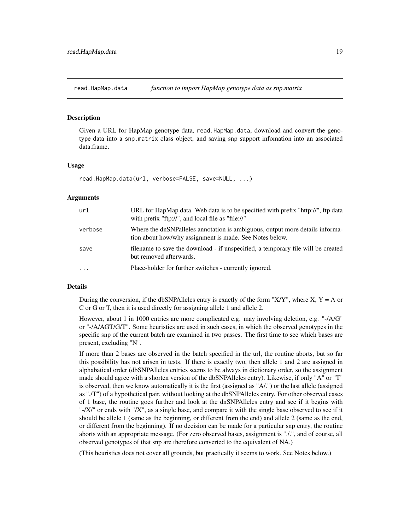<span id="page-18-1"></span><span id="page-18-0"></span>read.HapMap.data *function to import HapMap genotype data as snp.matrix*

#### **Description**

Given a URL for HapMap genotype data, read.HapMap.data, download and convert the genotype data into a snp.matrix class object, and saving snp support infomation into an associated data.frame.

#### Usage

```
read.HapMap.data(url, verbose=FALSE, save=NULL, ...)
```
#### Arguments

| url       | URL for HapMap data. Web data is to be specified with prefix "http://", ftp data<br>with prefix "ftp://", and local file as "file://"   |
|-----------|-----------------------------------------------------------------------------------------------------------------------------------------|
| verbose   | Where the dnSNPalleles annotation is ambiguous, output more details informa-<br>tion about how/why assignment is made. See Notes below. |
| save      | filename to save the download - if unspecified, a temporary file will be created<br>but removed afterwards.                             |
| $\ddotsc$ | Place-holder for further switches - currently ignored.                                                                                  |

#### Details

During the conversion, if the dbSNPAlleles entry is exactly of the form "X/Y", where X,  $Y = A$  or C or G or T, then it is used directly for assigning allele 1 and allele 2.

However, about 1 in 1000 entries are more complicated e.g. may involving deletion, e.g. "-/A/G" or "-/A/AGT/G/T". Some heuristics are used in such cases, in which the observed genotypes in the specific snp of the current batch are examined in two passes. The first time to see which bases are present, excluding "N".

If more than 2 bases are observed in the batch specified in the url, the routine aborts, but so far this possibility has not arisen in tests. If there is exactly two, then allele 1 and 2 are assigned in alphabatical order (dbSNPAlleles entries seems to be always in dictionary order, so the assignment made should agree with a shorten version of the dbSNPAlleles entry). Likewise, if only "A" or "T" is observed, then we know automatically it is the first (assigned as "A/.") or the last allele (assigned as "./T") of a hypothetical pair, without looking at the dbSNPAlleles entry. For other observed cases of 1 base, the routine goes further and look at the dnSNPAlleles entry and see if it begins with "-/X/" or ends with "/X", as a single base, and compare it with the single base observed to see if it should be allele 1 (same as the beginning, or different from the end) and allele 2 (same as the end, or different from the beginning). If no decision can be made for a particular snp entry, the routine aborts with an appropriate message. (For zero observed bases, assignment is "./.", and of course, all observed genotypes of that snp are therefore converted to the equivalent of NA.)

(This heuristics does not cover all grounds, but practically it seems to work. See Notes below.)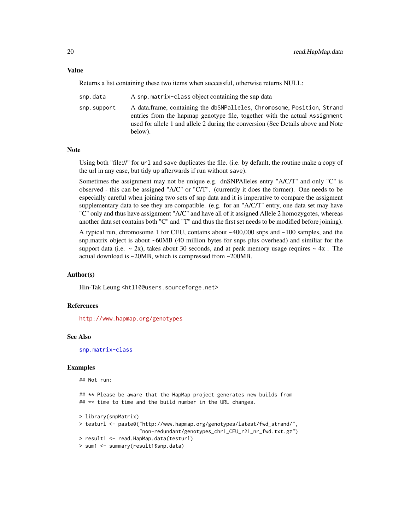Returns a list containing these two items when successful, otherwise returns NULL:

| snp.data    | A snp.matrix-class object containing the snp data                                                                                                                                                                                                    |
|-------------|------------------------------------------------------------------------------------------------------------------------------------------------------------------------------------------------------------------------------------------------------|
| snp.support | A data.frame, containing the dbSNPalleles, Chromosome, Position, Strand<br>entries from the hapmap genotype file, together with the actual Assignment<br>used for allele 1 and allele 2 during the conversion (See Details above and Note<br>below). |

#### **Note**

Using both "file://" for url and save duplicates the file. (i.e. by default, the routine make a copy of the url in any case, but tidy up afterwards if run without save).

Sometimes the assignment may not be unique e.g. dnSNPAlleles entry "A/C/T" and only "C" is observed - this can be assigned "A/C" or "C/T". (currently it does the former). One needs to be especially careful when joining two sets of snp data and it is imperative to compare the assigment supplementary data to see they are compatible. (e.g. for an "A/C/T" entry, one data set may have "C" only and thus have assignment "A/C" and have all of it assigned Allele 2 homozygotes, whereas another data set contains both "C" and "T" and thus the first set needs to be modified before joining).

A typical run, chromosome 1 for CEU, contains about ~400,000 snps and ~100 samples, and the snp.matrix object is about ~60MB (40 million bytes for snps plus overhead) and similiar for the support data (i.e.  $\sim$  2x), takes about 30 seconds, and at peak memory usage requires  $\sim$  4x. The actual download is ~20MB, which is compressed from ~200MB.

#### Author(s)

Hin-Tak Leung <htl10@users.sourceforge.net>

# References

<http://www.hapmap.org/genotypes>

#### See Also

[snp.matrix-class](#page-40-1)

# Examples

## Not run:

## \*\* Please be aware that the HapMap project generates new builds from ## \*\* time to time and the build number in the URL changes.

```
> library(snpMatrix)
> testurl <- paste0("http://www.hapmap.org/genotypes/latest/fwd_strand/",
                    "non-redundant/genotypes_chr1_CEU_r21_nr_fwd.txt.gz")
> result1 <- read.HapMap.data(testurl)
> sum1 <- summary(result1$snp.data)
```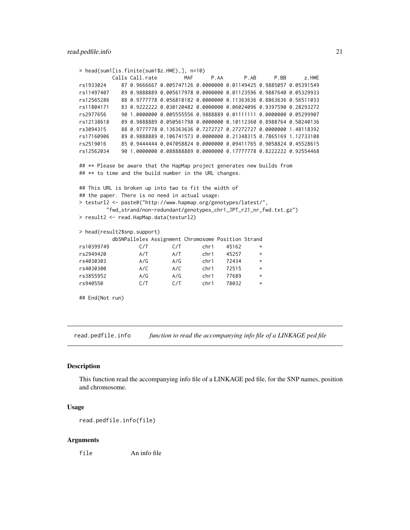```
> head(sum1[is.finite(sum1$z.HWE),], n=10)
         Calls Call.rate MAF P.AA P.AB P.BB z.HWE
rs1933024 87 0.9666667 0.005747126 0.0000000 0.01149425 0.9885057 0.05391549
rs11497407 89 0.9888889 0.005617978 0.0000000 0.01123596 0.9887640 0.05329933
rs12565286 88 0.9777778 0.056818182 0.0000000 0.11363636 0.8863636 0.56511033
rs11804171 83 0.9222222 0.030120482 0.0000000 0.06024096 0.9397590 0.28293272
rs2977656 90 1.0000000 0.005555556 0.9888889 0.01111111 0.0000000 0.05299907
rs12138618 89 0.9888889 0.050561798 0.0000000 0.10112360 0.8988764 0.50240136
rs3094315 88 0.9777778 0.136363636 0.7272727 0.27272727 0.0000000 1.48118392
rs17160906 89 0.9888889 0.106741573 0.0000000 0.21348315 0.7865169 1.12733108
rs2519016 85 0.9444444 0.047058824 0.0000000 0.09411765 0.9058824 0.45528615
rs12562034 90 1.0000000 0.088888889 0.0000000 0.17777778 0.8222222 0.92554468
## ** Please be aware that the HapMap project generates new builds from
## ** to time and the build number in the URL changes.
## This URL is broken up into two to fit the width of
## the paper. There is no need in actual usage:
> testurl2 <- paste0("http://www.hapmap.org/genotypes/latest/",
        "fwd_strand/non-redundant/genotypes_chr1_JPT_r21_nr_fwd.txt.gz")
> result2 <- read.HapMap.data(testurl2)
> head(result2$snp.support)
         dbSNPalleles Assignment Chromosome Position Strand
rs10399749 C/T C/T chr1 45162 +
rs2949420 A/T A/T chr1 45257 +
rs4030303 A/G A/G chr1 72434 +
rs4030300 A/C A/C chr1 72515 +
rs3855952 A/G A/G chr1 77689 +
rs940550 C/T C/T chr1 78032 +
## End(Not run)
```
<span id="page-20-1"></span>read.pedfile.info *function to read the accompanying info file of a LINKAGE ped file*

#### **Description**

This function read the accompanying info file of a LINKAGE ped file, for the SNP names, position and chromosome.

#### Usage

```
read.pedfile.info(file)
```
#### Arguments

file An info file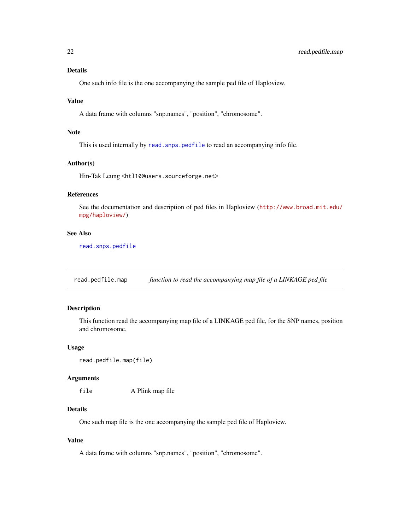#### <span id="page-21-0"></span>Details

One such info file is the one accompanying the sample ped file of Haploview.

# Value

A data frame with columns "snp.names", "position", "chromosome".

# Note

This is used internally by read. snps. pedfile to read an accompanying info file.

# Author(s)

Hin-Tak Leung <htl10@users.sourceforge.net>

# References

See the documentation and description of ped files in Haploview ([http://www.broad.mit.edu/](http://www.broad.mit.edu/mpg/haploview/) [mpg/haploview/](http://www.broad.mit.edu/mpg/haploview/))

#### See Also

[read.snps.pedfile](#page-27-1)

<span id="page-21-1"></span>read.pedfile.map *function to read the accompanying map file of a LINKAGE ped file*

# Description

This function read the accompanying map file of a LINKAGE ped file, for the SNP names, position and chromosome.

#### Usage

```
read.pedfile.map(file)
```
#### Arguments

file A Plink map file

# Details

One such map file is the one accompanying the sample ped file of Haploview.

# Value

A data frame with columns "snp.names", "position", "chromosome".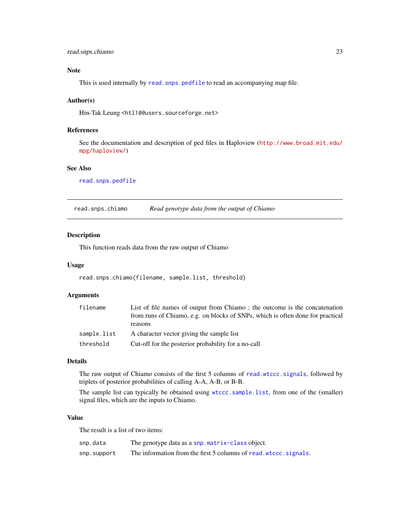# <span id="page-22-0"></span>read.snps.chiamo 23

# Note

This is used internally by read. snps. pedfile to read an accompanying map file.

#### Author(s)

Hin-Tak Leung <htl10@users.sourceforge.net>

# References

See the documentation and description of ped files in Haploview ([http://www.broad.mit.edu/](http://www.broad.mit.edu/mpg/haploview/) [mpg/haploview/](http://www.broad.mit.edu/mpg/haploview/))

# See Also

[read.snps.pedfile](#page-27-1)

<span id="page-22-1"></span>read.snps.chiamo *Read genotype data from the output of Chiamo*

# Description

This function reads data from the raw output of Chiamo

#### Usage

read.snps.chiamo(filename, sample.list, threshold)

# Arguments

| filename    | List of file names of output from Chiamo; the outcome is the concatenation     |
|-------------|--------------------------------------------------------------------------------|
|             | from runs of Chiamo, e.g. on blocks of SNPs, which is often done for practical |
|             | reasons                                                                        |
| sample.list | A character vector giving the sample list                                      |
| threshold   | Cut-off for the posterior probability for a no-call                            |

# Details

The raw output of Chiamo consists of the first 5 columns of [read.wtccc.signals](#page-28-1), followed by triplets of posterior probabilities of calling A-A, A-B, or B-B.

The sample list can typically be obtained using [wtccc.sample.list](#page-47-1), from one of the (smaller) signal files, which are the inputs to Chiamo.

# Value

The result is a list of two items:

| snp.data    | The genotype data as a snp.matrix-class object.                   |
|-------------|-------------------------------------------------------------------|
| snp.support | The information from the first 5 columns of read. wtccc. signals. |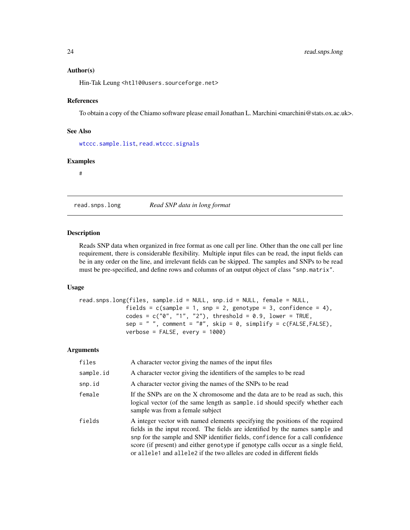#### <span id="page-23-0"></span>Author(s)

Hin-Tak Leung <htl10@users.sourceforge.net>

#### References

To obtain a copy of the Chiamo software please email Jonathan L. Marchini <marchini@stats.ox.ac.uk>.

#### See Also

[wtccc.sample.list](#page-47-1), [read.wtccc.signals](#page-28-1)

# Examples

#

<span id="page-23-1"></span>read.snps.long *Read SNP data in long format*

#### Description

Reads SNP data when organized in free format as one call per line. Other than the one call per line requirement, there is considerable flexibility. Multiple input files can be read, the input fields can be in any order on the line, and irrelevant fields can be skipped. The samples and SNPs to be read must be pre-specified, and define rows and columns of an output object of class "snp.matrix".

#### Usage

```
read.snps.long(files, sample.id = NULL, snp.id = NULL, female = NULL,
              fields = c(sample = 1, snp = 2, genotype = 3, confidence = 4),
              codes = c("0", "1", "2"), threshold = 0.9, lower = TRUE,
              sep = " ", comment = "#", skip = 0, simplify = c(FALSE, FALSE),
              verbose = FALSE, every = 1000)
```
#### Arguments

| files     | A character vector giving the names of the input files                                                                                                                                                                                                                                                                                                                                                           |
|-----------|------------------------------------------------------------------------------------------------------------------------------------------------------------------------------------------------------------------------------------------------------------------------------------------------------------------------------------------------------------------------------------------------------------------|
| sample.id | A character vector giving the identifiers of the samples to be read                                                                                                                                                                                                                                                                                                                                              |
| snp.id    | A character vector giving the names of the SNPs to be read                                                                                                                                                                                                                                                                                                                                                       |
| female    | If the SNPs are on the X chromosome and the data are to be read as such, this<br>logical vector (of the same length as sample, id should specify whether each<br>sample was from a female subject                                                                                                                                                                                                                |
| fields    | A integer vector with named elements specifying the positions of the required<br>fields in the input record. The fields are identified by the names sample and<br>snp for the sample and SNP identifier fields, confidence for a call confidence<br>score (if present) and either genotype if genotype calls occur as a single field,<br>or allele1 and allele2 if the two alleles are coded in different fields |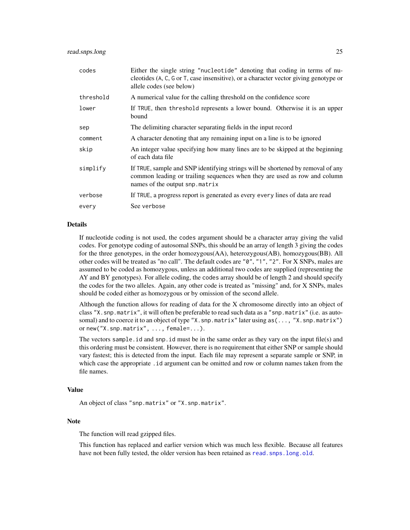<span id="page-24-0"></span>

| codes     | Either the single string "nucleotide" denoting that coding in terms of nu-<br>cleotides (A, C, G or T, case insensitive), or a character vector giving genotype or<br>allele codes (see below) |
|-----------|------------------------------------------------------------------------------------------------------------------------------------------------------------------------------------------------|
| threshold | A numerical value for the calling threshold on the confidence score                                                                                                                            |
| lower     | If TRUE, then threshold represents a lower bound. Otherwise it is an upper<br>bound                                                                                                            |
| sep       | The delimiting character separating fields in the input record                                                                                                                                 |
| comment   | A character denoting that any remaining input on a line is to be ignored                                                                                                                       |
| skip      | An integer value specifying how many lines are to be skipped at the beginning<br>of each data file                                                                                             |
| simplify  | If TRUE, sample and SNP identifying strings will be shortened by removal of any<br>common leading or trailing sequences when they are used as row and column<br>names of the output snp.matrix |
| verbose   | If TRUE, a progress report is generated as every every lines of data are read                                                                                                                  |
| every     | See verbose                                                                                                                                                                                    |

# Details

If nucleotide coding is not used, the codes argument should be a character array giving the valid codes. For genotype coding of autosomal SNPs, this should be an array of length 3 giving the codes for the three genotypes, in the order homozygous(AA), heterozygous(AB), homozygous(BB). All other codes will be treated as "no call". The default codes are "0", "1", "2". For X SNPs, males are assumed to be coded as homozygous, unless an additional two codes are supplied (representing the AY and BY genotypes). For allele coding, the codes array should be of length 2 and should specify the codes for the two alleles. Again, any other code is treated as "missing" and, for X SNPs, males should be coded either as homozygous or by omission of the second allele.

Although the function allows for reading of data for the X chromosome directly into an object of class "X.snp.matrix", it will often be preferable to read such data as a "snp.matrix" (i.e. as autosomal) and to coerce it to an object of type "X.snp.matrix" later using as(..., "X.snp.matrix") or new("X.snp.matrix", ..., female=...).

The vectors sample. id and snp. id must be in the same order as they vary on the input file(s) and this ordering must be consistent. However, there is no requirement that either SNP or sample should vary fastest; this is detected from the input. Each file may represent a separate sample or SNP, in which case the appropriate . id argument can be omitted and row or column names taken from the file names.

#### Value

An object of class "snp.matrix" or "X.snp.matrix".

#### Note

The function will read gzipped files.

This function has replaced and earlier version which was much less flexible. Because all features have not been fully tested, the older version has been retained as read. snps. long. old.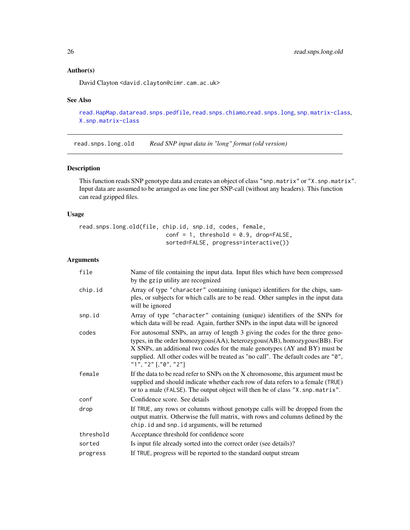# Author(s)

David Clayton <david.clayton@cimr.cam.ac.uk>

# See Also

```
read.HapMap.dataread.snps.pedfile, read.snps.chiamo,read.snps.long, snp.matrix-class,
X.snp.matrix-class
```
<span id="page-25-1"></span>read.snps.long.old *Read SNP input data in "long" format (old version)*

# Description

This function reads SNP genotype data and creates an object of class "snp.matrix" or "X.snp.matrix". Input data are assumed to be arranged as one line per SNP-call (without any headers). This function can read gzipped files.

# Usage

read.snps.long.old(file, chip.id, snp.id, codes, female,  $conf = 1$ , threshold = 0.9, drop=FALSE, sorted=FALSE, progress=interactive())

#### Arguments

| file      | Name of file containing the input data. Input files which have been compressed<br>by the gzip utility are recognized                                                                                                                                                                                                                                                    |
|-----------|-------------------------------------------------------------------------------------------------------------------------------------------------------------------------------------------------------------------------------------------------------------------------------------------------------------------------------------------------------------------------|
| chip.id   | Array of type "character" containing (unique) identifiers for the chips, sam-<br>ples, or subjects for which calls are to be read. Other samples in the input data<br>will be ignored                                                                                                                                                                                   |
| snp.id    | Array of type "character" containing (unique) identifiers of the SNPs for<br>which data will be read. Again, further SNPs in the input data will be ignored                                                                                                                                                                                                             |
| codes     | For autosomal SNPs, an array of length 3 giving the codes for the three geno-<br>types, in the order homozygous(AA), heterozygous(AB), homozygous(BB). For<br>X SNPs, an additional two codes for the male genotypes (AY and BY) must be<br>supplied. All other codes will be treated as "no call". The default codes are "0",<br>"1", "2" $\lceil$ , "0", "2" $\rceil$ |
| female    | If the data to be read refer to SNPs on the X chromosome, this argument must be<br>supplied and should indicate whether each row of data refers to a female (TRUE)<br>or to a male (FALSE). The output object will then be of class "X. snp. matrix".                                                                                                                   |
| conf      | Confidence score. See details                                                                                                                                                                                                                                                                                                                                           |
| drop      | If TRUE, any rows or columns without genotype calls will be dropped from the<br>output matrix. Otherwise the full matrix, with rows and columns defined by the<br>chip. id and snp. id arguments, will be returned                                                                                                                                                      |
| threshold | Acceptance threshold for confidence score                                                                                                                                                                                                                                                                                                                               |
| sorted    | Is input file already sorted into the correct order (see details)?                                                                                                                                                                                                                                                                                                      |
| progress  | If TRUE, progress will be reported to the standard output stream                                                                                                                                                                                                                                                                                                        |

<span id="page-25-0"></span>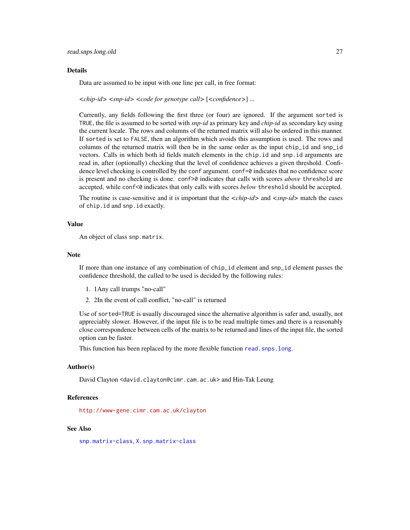#### <span id="page-26-0"></span>Details

Data are assumed to be input with one line per call, in free format:

*<chip-id> <snp-id> <code for genotype call>* [*<confidence>*] ...

Currently, any fields following the first three (or four) are ignored. If the argument sorted is TRUE, the file is assumed to be sorted with *snp-id* as primary key and *chip-id* as secondary key using the current locale. The rows and columns of the returned matrix will also be ordered in this manner. If sorted is set to FALSE, then an algorithm which avoids this assumption is used. The rows and columns of the returned matrix will then be in the same order as the input chip\_id and snp\_id vectors. Calls in which both id fields match elements in the chip.id and snp.id arguments are read in, after (optionally) checking that the level of confidence achieves a given threshold. Confidence level checking is controlled by the conf argument. conf=0 indicates that no confidence score is present and no checking is done. conf>0 indicates that calls with scores *above* threshold are accepted, while conf<0 indicates that only calls with scores *below* threshold should be accepted.

The routine is case-sensitive and it is important that the *<chip-id>* and *<snp-id>* match the cases of chip.id and snp.id exactly.

#### Value

An object of class snp.matrix.

#### **Note**

If more than one instance of any combination of chip\_id element and snp\_id element passes the confidence threshold, the called to be used is decided by the following rules:

- 1. 1Any call trumps "no-call"
- 2. 2In the event of call conflict, "no-call" is returned

Use of sorted=TRUE is usually discouraged since the alternative algorithm is safer and, usually, not appreciably slower. However, if the input file is to be read multiple times and there is a reasonably close correspondence between cells of the matrix to be returned and lines of the input file, the sorted option can be faster.

This function has been replaced by the more flexible function read. snps. long.

#### Author(s)

David Clayton <david.clayton@cimr.cam.ac.uk> and Hin-Tak Leung

# References

<http://www-gene.cimr.cam.ac.uk/clayton>

# See Also

[snp.matrix-class](#page-40-1), [X.snp.matrix-class](#page-49-1)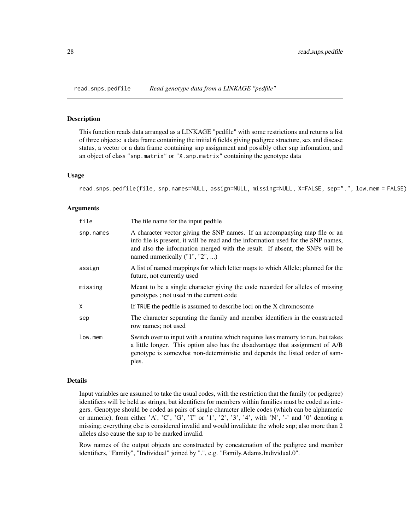<span id="page-27-1"></span><span id="page-27-0"></span>

# Description

This function reads data arranged as a LINKAGE "pedfile" with some restrictions and returns a list of three objects: a data frame containing the initial 6 fields giving pedigree structure, sex and disease status, a vector or a data frame containing snp assignment and possibly other snp infomation, and an object of class "snp.matrix" or "X.snp.matrix" containing the genotype data

#### Usage

read.snps.pedfile(file, snp.names=NULL, assign=NULL, missing=NULL, X=FALSE, sep=".", low.mem = FALSE)

#### Arguments

| file      | The file name for the input pedfile.                                                                                                                                                                                                                                              |
|-----------|-----------------------------------------------------------------------------------------------------------------------------------------------------------------------------------------------------------------------------------------------------------------------------------|
| snp.names | A character vector giving the SNP names. If an accompanying map file or an<br>info file is present, it will be read and the information used for the SNP names,<br>and also the information merged with the result. If absent, the SNPs will be<br>named numerically ("1", "2", ) |
| assign    | A list of named mappings for which letter maps to which Allele; planned for the<br>future, not currently used                                                                                                                                                                     |
| missing   | Meant to be a single character giving the code recorded for alleles of missing<br>genotypes; not used in the current code                                                                                                                                                         |
| Χ         | If TRUE the pedfile is assumed to describe loci on the X chromosome                                                                                                                                                                                                               |
| sep       | The character separating the family and member identifiers in the constructed<br>row names; not used                                                                                                                                                                              |
| low.mem   | Switch over to input with a routine which requires less memory to run, but takes<br>a little longer. This option also has the disadvantage that assignment of A/B<br>genotype is somewhat non-deterministic and depends the listed order of sam-<br>ples.                         |

# Details

Input variables are assumed to take the usual codes, with the restriction that the family (or pedigree) identifiers will be held as strings, but identifiers for members within families must be coded as integers. Genotype should be coded as pairs of single character allele codes (which can be alphameric or numeric), from either 'A', 'C', 'G', 'T' or '1', '2', '3', '4', with 'N', '-' and '0' denoting a missing; everything else is considered invalid and would invalidate the whole snp; also more than 2 alleles also cause the snp to be marked invalid.

Row names of the output objects are constructed by concatenation of the pedigree and member identifiers, "Family", "Individual" joined by ".", e.g. "Family.Adams.Individual.0".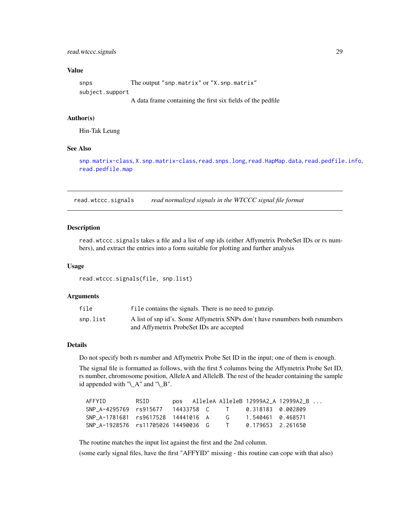# <span id="page-28-0"></span>Value

snps The output "snp.matrix" or "X.snp.matrix" subject.support

A data frame containing the first six fields of the pedfile

# Author(s)

Hin-Tak Leung

#### See Also

[snp.matrix-class](#page-40-1), [X.snp.matrix-class](#page-49-1), [read.snps.long](#page-23-1), [read.HapMap.data](#page-18-1), [read.pedfile.info](#page-20-1), [read.pedfile.map](#page-21-1)

<span id="page-28-1"></span>read.wtccc.signals *read normalized signals in the WTCCC signal file format*

#### Description

read.wtccc.signals takes a file and a list of snp ids (either Affymetrix ProbeSet IDs or rs numbers), and extract the entries into a form suitable for plotting and further analysis

#### Usage

read.wtccc.signals(file, snp.list)

#### Arguments

| file     | file contains the signals. There is no need to gunzip.                       |
|----------|------------------------------------------------------------------------------|
| snp.list | A list of snp id's. Some Affymetrix SNPs don't have rsnumbers both rsnumbers |
|          | and Affymetrix ProbeSet IDs are accepted                                     |

# Details

Do not specify both rs number and Affymetrix Probe Set ID in the input; one of them is enough.

The signal file is formatted as follows, with the first 5 columns being the Affymetrix Probe Set ID, rs number, chromosome position, AlleleA and AlleleB. The rest of the header containing the sample id appended with "\\_A" and "\\_B".

| AFFYID                                                 | RSID |  |              | pos AlleleA AlleleB 12999A2_A 12999A2_B |  |
|--------------------------------------------------------|------|--|--------------|-----------------------------------------|--|
| SNP A-4295769 rs915677 14433758 C T 0.318183 0.002809  |      |  |              |                                         |  |
| SNP A-1781681 rs9617528 14441016 A G 1.540461 0.468571 |      |  |              |                                         |  |
| SNP A-1928576 rs11705026 14490036 G                    |      |  | $\mathbf{T}$ | 0.179653 2.261650                       |  |

The routine matches the input list against the first and the 2nd column.

(some early signal files, have the first "AFFYID" missing - this routine can cope with that also)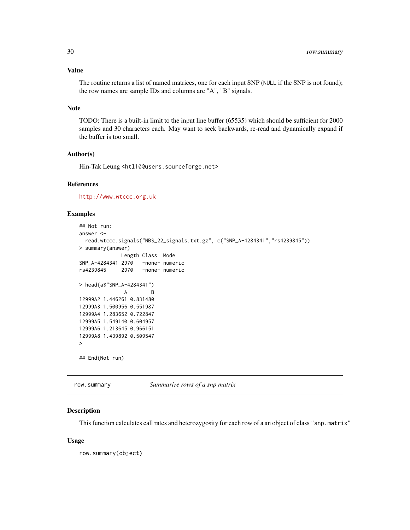# <span id="page-29-0"></span>Value

The routine returns a list of named matrices, one for each input SNP (NULL if the SNP is not found); the row names are sample IDs and columns are "A", "B" signals.

#### Note

TODO: There is a built-in limit to the input line buffer (65535) which should be sufficient for 2000 samples and 30 characters each. May want to seek backwards, re-read and dynamically expand if the buffer is too small.

# Author(s)

Hin-Tak Leung <htl10@users.sourceforge.net>

# References

<http://www.wtccc.org.uk>

# Examples

```
## Not run:
answer <-
 read.wtccc.signals("NBS_22_signals.txt.gz", c("SNP_A-4284341","rs4239845"))
> summary(answer)
             Length Class Mode
SNP_A-4284341 2970 -none- numeric
rs4239845 2970 -none- numeric
> head(a$"SNP_A-4284341")
              A B
12999A2 1.446261 0.831480
12999A3 1.500956 0.551987
12999A4 1.283652 0.722847
12999A5 1.549140 0.604957
12999A6 1.213645 0.966151
12999A8 1.439892 0.509547
>
## End(Not run)
```
row.summary *Summarize rows of a snp matrix*

#### Description

This function calculates call rates and heterozygosity for each row of a an object of class "snp.matrix"

#### Usage

row.summary(object)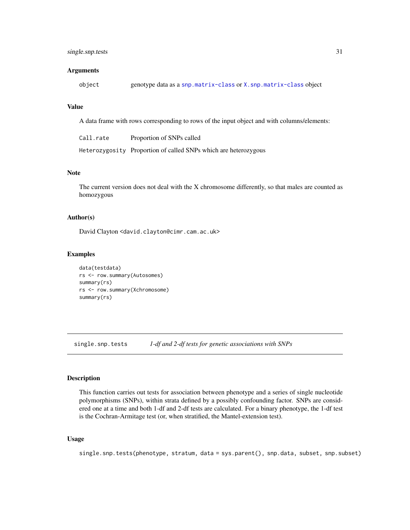#### <span id="page-30-0"></span>Arguments

|  | object |  | genotype data as a snp.matrix-class or X.snp.matrix-class object |  |  |
|--|--------|--|------------------------------------------------------------------|--|--|
|--|--------|--|------------------------------------------------------------------|--|--|

# Value

A data frame with rows corresponding to rows of the input object and with columns/elements:

| Call.rate | Proportion of SNPs called                                       |
|-----------|-----------------------------------------------------------------|
|           | Heterozygosity Proportion of called SNPs which are heterozygous |

# Note

The current version does not deal with the X chromosome differently, so that males are counted as homozygous

# Author(s)

David Clayton <david.clayton@cimr.cam.ac.uk>

# Examples

```
data(testdata)
rs <- row.summary(Autosomes)
summary(rs)
rs <- row.summary(Xchromosome)
summary(rs)
```
<span id="page-30-1"></span>single.snp.tests *1-df and 2-df tests for genetic associations with SNPs*

#### Description

This function carries out tests for association between phenotype and a series of single nucleotide polymorphisms (SNPs), within strata defined by a possibly confounding factor. SNPs are considered one at a time and both 1-df and 2-df tests are calculated. For a binary phenotype, the 1-df test is the Cochran-Armitage test (or, when stratified, the Mantel-extension test).

#### Usage

single.snp.tests(phenotype, stratum, data = sys.parent(), snp.data, subset, snp.subset)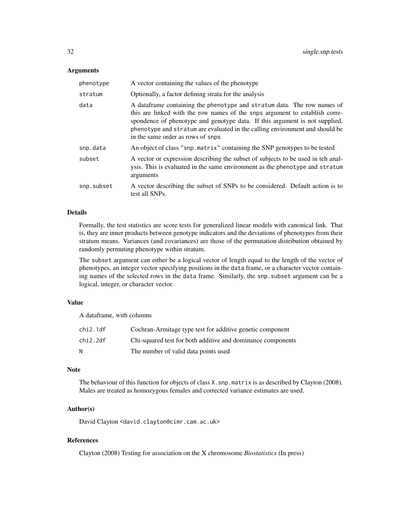#### **Arguments**

| phenotype  | A vector containing the values of the phenotype                                                                                                                                                                                                                                                                                                             |
|------------|-------------------------------------------------------------------------------------------------------------------------------------------------------------------------------------------------------------------------------------------------------------------------------------------------------------------------------------------------------------|
| stratum    | Optionally, a factor defining strata for the analysis                                                                                                                                                                                                                                                                                                       |
| data       | A data frame containing the phenotype and stratum data. The row names of<br>this are linked with the row names of the snps argument to establish corre-<br>spondence of phenotype and genotype data. If this argument is not supplied,<br>phenotype and stratum are evaluated in the calling environment and should be<br>in the same order as rows of snps |
| snp.data   | An object of class "snp. matrix" containing the SNP genotypes to be tested                                                                                                                                                                                                                                                                                  |
| subset     | A vector or expression describing the subset of subjects to be used in teh anal-<br>ysis. This is evaluated in the same environment as the phenotype and stratum<br>arguments                                                                                                                                                                               |
| snp.subset | A vector describing the subset of SNPs to be considered. Default action is to<br>test all SNPs.                                                                                                                                                                                                                                                             |

#### Details

Formally, the test statistics are score tests for generalized linear models with canonical link. That is, they are inner products between genotype indicators and the deviations of phenotypes from their stratum means. Variances (and covariances) are those of the permutation distribution obtained by randomly permuting phenotype within stratum.

The subset argument can either be a logical vector of length equal to the length of the vector of phenotypes, an integer vector specifying positions in the data frame, or a character vector containing names of the selected rows in the data frame. Similarly, the snp.subset argument can be a logical, integer, or character vector.

# Value

A dataframe, with columns

| chi2.1df | Cochran-Armitage type test for additive genetic component   |
|----------|-------------------------------------------------------------|
| chi2.2df | Chi-squared test for both additive and dominance components |
| N        | The number of valid data points used                        |

# Note

The behaviour of this function for objects of class X.snp.matrix is as described by Clayton (2008). Males are treated as homozygous females and corrected variance estimates are used.

# Author(s)

David Clayton <david.clayton@cimr.cam.ac.uk>

# References

Clayton (2008) Testing for association on the X chromosome *Biostatistics* (In press)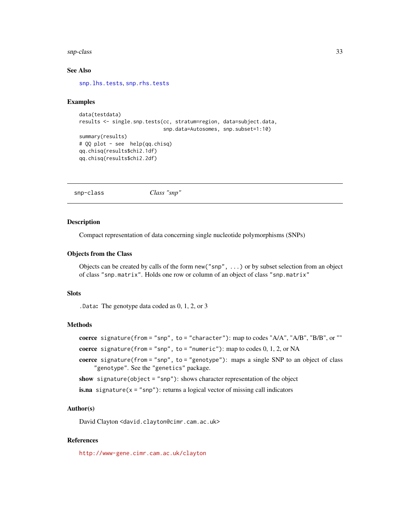#### <span id="page-32-0"></span>snp-class 33

#### See Also

[snp.lhs.tests](#page-38-1), [snp.rhs.tests](#page-43-1)

#### Examples

```
data(testdata)
results <- single.snp.tests(cc, stratum=region, data=subject.data,
                            snp.data=Autosomes, snp.subset=1:10)
summary(results)
# QQ plot - see help(qq.chisq)
qq.chisq(results$chi2.1df)
qq.chisq(results$chi2.2df)
```
<span id="page-32-1"></span>snp-class *Class "snp"*

#### **Description**

Compact representation of data concerning single nucleotide polymorphisms (SNPs)

#### Objects from the Class

Objects can be created by calls of the form new("snp", ...) or by subset selection from an object of class "snp.matrix". Holds one row or column of an object of class "snp.matrix"

#### **Slots**

.Data: The genotype data coded as 0, 1, 2, or 3

#### Methods

```
coerce signature(from = "snp", to = "character"): map to codes "A/A", "A/B", "B/B", or ""
```
coerce signature(from = "snp", to = "numeric"): map to codes  $0, 1, 2$ , or NA

coerce signature(from = "snp", to = "genotype"): maps a single SNP to an object of class "genotype". See the "genetics" package.

show signature(object = "snp"): shows character representation of the object

**is.na** signature( $x = "snp")$ : returns a logical vector of missing call indicators

#### Author(s)

David Clayton <david.clayton@cimr.cam.ac.uk>

# References

<http://www-gene.cimr.cam.ac.uk/clayton>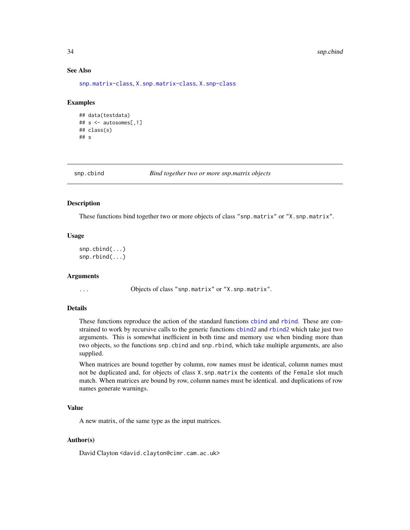#### <span id="page-33-0"></span>34 snp.cbind

#### See Also

[snp.matrix-class](#page-40-1), [X.snp.matrix-class](#page-49-1), [X.snp-class](#page-48-1)

# Examples

```
## data(testdata)
## s <- autosomes[,1]
## class(s)
## s
```
snp.cbind *Bind together two or more snp.matrix objects*

# <span id="page-33-1"></span>Description

These functions bind together two or more objects of class "snp.matrix" or "X.snp.matrix".

#### Usage

```
snp.cbind(...)
snp.rbind(...)
```
# Arguments

... Objects of class "snp.matrix" or "X.snp.matrix".

# Details

These functions reproduce the action of the standard functions [cbind](#page-33-1) and [rbind](#page-33-1). These are constrained to work by recursive calls to the generic functions [cbind2](#page-33-1) and [rbind2](#page-33-1) which take just two arguments. This is somewhat inefficient in both time and memory use when binding more than two objects, so the functions snp.cbind and snp.rbind, which take multiple arguments, are also supplied.

When matrices are bound together by column, row names must be identical, column names must not be duplicated and, for objects of class X.snp.matrix the contents of the Female slot much match. When matrices are bound by row, column names must be identical. and duplications of row names generate warnings.

#### Value

A new matrix, of the same type as the input matrices.

# Author(s)

David Clayton <david.clayton@cimr.cam.ac.uk>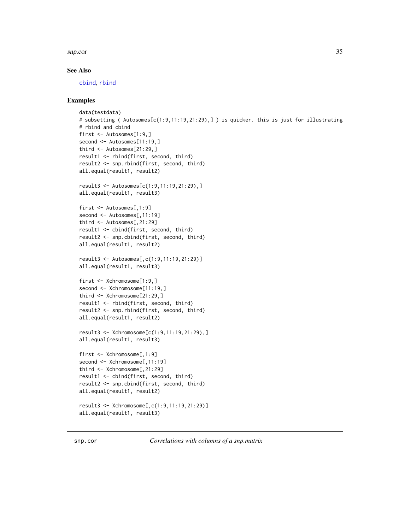#### <span id="page-34-0"></span>snp.cor 35

#### See Also

[cbind](#page-33-1), [rbind](#page-33-1)

#### Examples

```
data(testdata)
# subsetting ( Autosomes[c(1:9,11:19,21:29),] ) is quicker. this is just for illustrating
# rbind and cbind
first <- Autosomes[1:9,]
second <- Autosomes[11:19,]
third <- Autosomes[21:29,]
result1 <- rbind(first, second, third)
result2 <- snp.rbind(first, second, third)
all.equal(result1, result2)
result3 <- Autosomes[c(1:9,11:19,21:29),]
all.equal(result1, result3)
first <- Autosomes[,1:9]
second <- Autosomes[,11:19]
third <- Autosomes[,21:29]
result1 <- cbind(first, second, third)
result2 <- snp.cbind(first, second, third)
all.equal(result1, result2)
result3 <- Autosomes[,c(1:9,11:19,21:29)]
all.equal(result1, result3)
first <- Xchromosome[1:9,]
second <- Xchromosome[11:19,]
third <- Xchromosome[21:29,]
result1 <- rbind(first, second, third)
result2 <- snp.rbind(first, second, third)
all.equal(result1, result2)
result3 <- Xchromosome[c(1:9,11:19,21:29),]
all.equal(result1, result3)
first <- Xchromosome[,1:9]
second <- Xchromosome[,11:19]
third <- Xchromosome[,21:29]
result1 <- cbind(first, second, third)
result2 <- snp.cbind(first, second, third)
all.equal(result1, result2)
result3 <- Xchromosome[,c(1:9,11:19,21:29)]
all.equal(result1, result3)
```
snp.cor *Correlations with columns of a snp.matrix*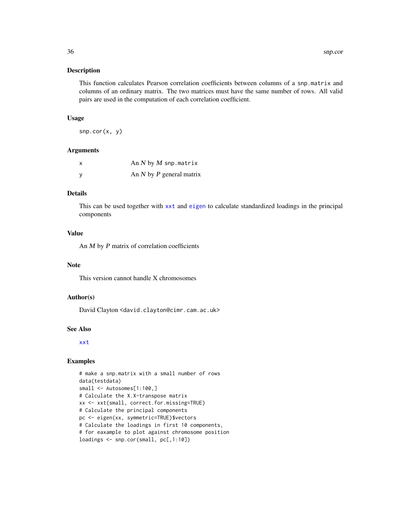#### <span id="page-35-0"></span>Description

This function calculates Pearson correlation coefficients between columns of a snp.matrix and columns of an ordinary matrix. The two matrices must have the same number of rows. All valid pairs are used in the computation of each correlation coefficient.

#### Usage

```
snp.cor(x, y)
```
# Arguments

| X | An $N$ by $M$ snp. matrix    |
|---|------------------------------|
| y | An $N$ by $P$ general matrix |

# Details

This can be used together with [xxt](#page-51-1) and [eigen](#page-0-0) to calculate standardized loadings in the principal components

#### Value

An  $M$  by  $P$  matrix of correlation coefficients

# Note

This version cannot handle X chromosomes

# Author(s)

David Clayton <david.clayton@cimr.cam.ac.uk>

# See Also

[xxt](#page-51-1)

# Examples

```
# make a snp.matrix with a small number of rows
data(testdata)
small <- Autosomes[1:100,]
# Calculate the X.X-transpose matrix
xx <- xxt(small, correct.for.missing=TRUE)
# Calculate the principal components
pc <- eigen(xx, symmetric=TRUE)$vectors
# Calculate the loadings in first 10 components,
# for eaxample to plot against chromosome position
loadings <- snp.cor(small, pc[,1:10])
```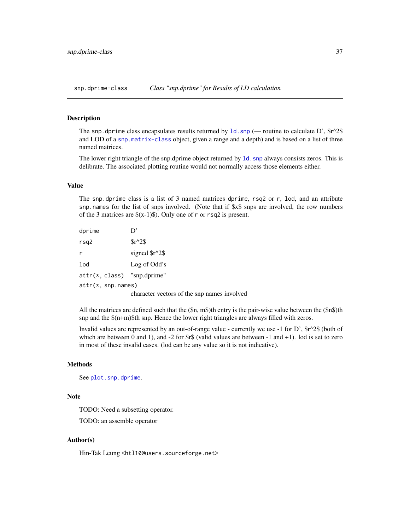<span id="page-36-1"></span><span id="page-36-0"></span>snp.dprime-class *Class "snp.dprime" for Results of LD calculation*

#### Description

The snp.dprime class encapsulates results returned by  $1d$ . snp (— routine to calculate D',  $\frac{8r^2}{8}$ and LOD of a [snp.matrix-class](#page-40-1) object, given a range and a depth) and is based on a list of three named matrices.

The lower right triangle of the snp.dprime object returned by [ld.snp](#page-10-1) always consists zeros. This is delibrate. The associated plotting routine would not normally access those elements either.

#### Value

The snp.dprime class is a list of 3 named matrices dprime, rsq2 or r, lod, and an attribute snp.names for the list of snps involved. (Note that if \$x\$ snps are involved, the row numbers of the 3 matrices are  $(x-1)$ ). Only one of r or rsq2 is present.

| dprime                        | D,                                          |
|-------------------------------|---------------------------------------------|
| rsq2                          | $Sr^2S$                                     |
| r                             | signed $\frac{s}{2}\$                       |
| lod                           | Log of Odd's                                |
| $attr(*, class)$ "snp.dprime" |                                             |
| $attr(*, snp.name)$           |                                             |
|                               | character vectors of the snp names involved |

All the matrices are defined such that the  $(\$n, m$)$ th entry is the pair-wise value between the  $(\$n$)$ th snp and the \$(n+m)\$th snp. Hence the lower right triangles are always filled with zeros.

Invalid values are represented by an out-of-range value - currently we use -1 for D',  $\frac{\text{Gr}}{2}$  (both of which are between 0 and 1), and  $-2$  for  $\frac{2}{3}$  (valid values are between  $-1$  and  $+1$ ). lod is set to zero in most of these invalid cases. (lod can be any value so it is not indicative).

# Methods

See [plot.snp.dprime](#page-14-1).

#### Note

TODO: Need a subsetting operator.

TODO: an assemble operator

#### Author(s)

Hin-Tak Leung <htl10@users.sourceforge.net>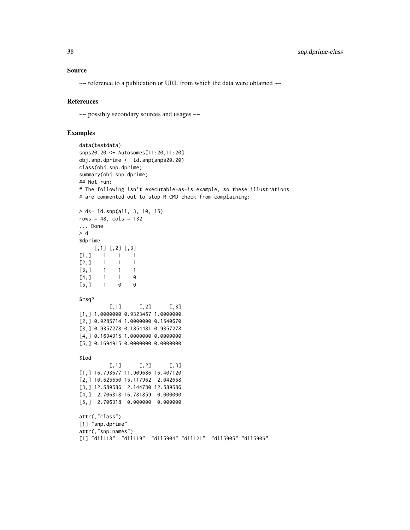#### Source

~~ reference to a publication or URL from which the data were obtained ~~

#### References

~~ possibly secondary sources and usages ~~

# Examples

```
data(testdata)
snps20.20 <- Autosomes[11:20,11:20]
obj.snp.dprime <- ld.snp(snps20.20)
class(obj.snp.dprime)
summary(obj.snp.dprime)
## Not run:
# The following isn't executable-as-is example, so these illustrations
# are commented out to stop R CMD check from complaining:
> d<- ld.snp(all, 3, 10, 15)
rows = 48, cols = 132... Done
> d
$dprime
    [,1] [,2] [,3]
[1,] 1 1 1
[2,] 1 1 1 1[3,] 1 1 1
[4,] 1 1 0[5,] 1 0 0
$rsq2
         [0,1] [0,2] [0,3][1,] 1.0000000 0.9323467 1.0000000
[2,] 0.9285714 1.0000000 0.1540670
[3,] 0.9357278 0.1854481 0.9357278
[4,] 0.1694915 1.0000000 0.0000000
[5,] 0.1694915 0.0000000 0.0000000
$lod
         [0,1] [0,2] [0,3][1,] 16.793677 11.909686 16.407120
[2,] 10.625650 15.117962 2.042668
[3,] 12.589586 2.144780 12.589586
[4,] 2.706318 16.781859 0.000000
[5,] 2.706318 0.000000 0.000000
attr(,"class")
[1] "snp.dprime"
attr(,"snp.names")
[1] "dil118" "dil119" "dil5904" "dil121" "dil5905" "dil5906"
```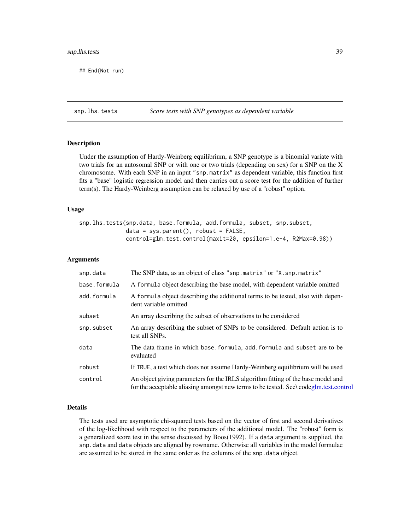# <span id="page-38-0"></span>snp.lhs.tests 39

## End(Not run)

<span id="page-38-1"></span>snp.lhs.tests *Score tests with SNP genotypes as dependent variable*

# Description

Under the assumption of Hardy-Weinberg equilibrium, a SNP genotype is a binomial variate with two trials for an autosomal SNP or with one or two trials (depending on sex) for a SNP on the X chromosome. With each SNP in an input "snp.matrix" as dependent variable, this function first fits a "base" logistic regression model and then carries out a score test for the addition of further term(s). The Hardy-Weinberg assumption can be relaxed by use of a "robust" option.

# Usage

```
snp.lhs.tests(snp.data, base.formula, add.formula, subset, snp.subset,
              data = sys.parent(), robust = FALSE,
              control=glm.test.control(maxit=20, epsilon=1.e-4, R2Max=0.98))
```
#### Arguments

| snp.data     | The SNP data, as an object of class "snp.matrix" or "X.snp.matrix"                                                                                                        |
|--------------|---------------------------------------------------------------------------------------------------------------------------------------------------------------------------|
| base.formula | A formula object describing the base model, with dependent variable omitted                                                                                               |
| add.formula  | A formula object describing the additional terms to be tested, also with depen-<br>dent variable omitted                                                                  |
| subset       | An array describing the subset of observations to be considered                                                                                                           |
| snp.subset   | An array describing the subset of SNPs to be considered. Default action is to<br>test all SNPs.                                                                           |
| data         | The data frame in which base. formula, add. formula and subset are to be<br>evaluated                                                                                     |
| robust       | If TRUE, a test which does not assume Hardy-Weinberg equilibrium will be used                                                                                             |
| control      | An object giving parameters for the IRLS algorithm fitting of the base model and<br>for the acceptable aliasing amongst new terms to be tested. See, codeglm.test.control |

#### Details

The tests used are asymptotic chi-squared tests based on the vector of first and second derivatives of the log-likelihood with respect to the parameters of the additional model. The "robust" form is a generalized score test in the sense discussed by Boos(1992). If a data argument is supplied, the snp.data and data objects are aligned by rowname. Otherwise all variables in the model formulae are assumed to be stored in the same order as the columns of the snp.data object.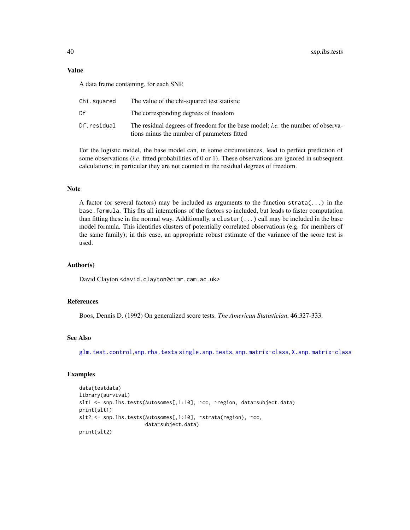#### <span id="page-39-0"></span>Value

A data frame containing, for each SNP,

| Chi.squared | The value of the chi-squared test statistic                                                                                           |
|-------------|---------------------------------------------------------------------------------------------------------------------------------------|
| Df          | The corresponding degrees of freedom                                                                                                  |
| Df.residual | The residual degrees of freedom for the base model; <i>i.e.</i> the number of observa-<br>tions minus the number of parameters fitted |

For the logistic model, the base model can, in some circumstances, lead to perfect prediction of some observations (*i.e.* fitted probabilities of 0 or 1). These observations are ignored in subsequent calculations; in particular they are not counted in the residual degrees of freedom.

# Note

A factor (or several factors) may be included as arguments to the function  $strata(...)$  in the base.formula. This fits all interactions of the factors so included, but leads to faster computation than fitting these in the normal way. Additionally, a cluster( $\ldots$ ) call may be included in the base model formula. This identifies clusters of potentially correlated observations (e.g. for members of the same family); in this case, an appropriate robust estimate of the variance of the score test is used.

# Author(s)

David Clayton <david.clayton@cimr.cam.ac.uk>

# References

Boos, Dennis D. (1992) On generalized score tests. *The American Statistician*, 46:327-333.

#### See Also

[glm.test.control](#page-6-1),[snp.rhs.tests](#page-43-1) [single.snp.tests](#page-30-1), [snp.matrix-class](#page-40-1), [X.snp.matrix-class](#page-49-1)

# Examples

```
data(testdata)
library(survival)
slt1 <- snp.lhs.tests(Autosomes[,1:10], ~cc, ~region, data=subject.data)
print(slt1)
slt2 <- snp.lhs.tests(Autosomes[,1:10], ~strata(region), ~cc,
                      data=subject.data)
print(slt2)
```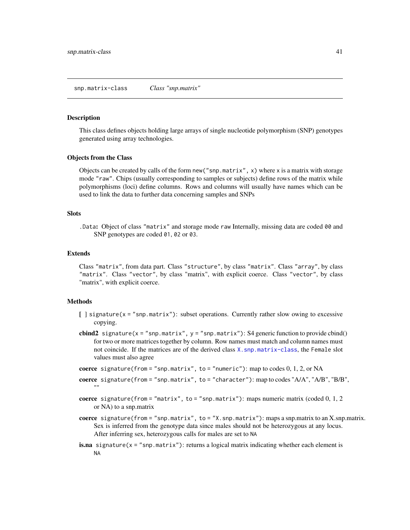#### <span id="page-40-1"></span><span id="page-40-0"></span>Description

This class defines objects holding large arrays of single nucleotide polymorphism (SNP) genotypes generated using array technologies.

# Objects from the Class

Objects can be created by calls of the form new ("snp.matrix",  $x$ ) where x is a matrix with storage mode "raw". Chips (usually corresponding to samples or subjects) define rows of the matrix while polymorphisms (loci) define columns. Rows and columns will usually have names which can be used to link the data to further data concerning samples and SNPs

#### **Slots**

.Data: Object of class "matrix" and storage mode raw Internally, missing data are coded 00 and SNP genotypes are coded 01, 02 or 03.

# Extends

Class "matrix", from data part. Class "structure", by class "matrix". Class "array", by class "matrix". Class "vector", by class "matrix", with explicit coerce. Class "vector", by class "matrix", with explicit coerce.

# Methods

- [ ] signature(x = "snp.matrix"): subset operations. Currently rather slow owing to excessive copying.
- cbind2 signature( $x =$ "snp.matrix",  $y =$ "snp.matrix"): S4 generic function to provide cbind() for two or more matrices together by column. Row names must match and column names must not coincide. If the matrices are of the derived class [X.snp.matrix-class](#page-49-1), the Female slot values must also agree
- **coerce** signature(from = "snp.matrix", to = "numeric"): map to codes  $0, 1, 2$ , or NA
- coerce signature(from = "snp.matrix", to = "character"): map to codes "A/A", "A/B", "B/B", ""
- coerce signature(from = "matrix", to = "snp.matrix"): maps numeric matrix (coded  $0, 1, 2$ or NA) to a snp.matrix
- coerce signature(from = "snp.matrix", to = "X.snp.matrix"): maps a snp.matrix to an X.snp.matrix. Sex is inferred from the genotype data since males should not be heterozygous at any locus. After inferring sex, heterozygous calls for males are set to NA
- **is.na** signature( $x =$ "snp.matrix"): returns a logical matrix indicating whether each element is NA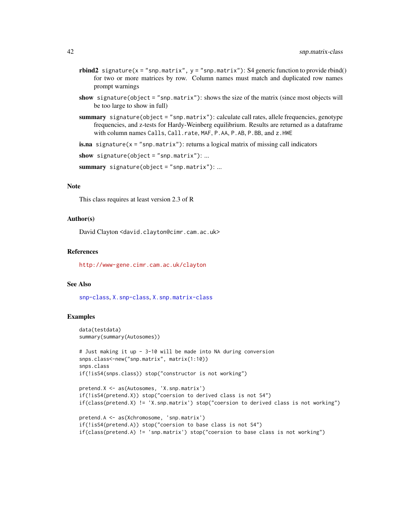- rbind2 signature( $x =$ "snp.matrix",  $y =$ "snp.matrix"): S4 generic function to provide rbind() for two or more matrices by row. Column names must match and duplicated row names prompt warnings
- show signature(object = "snp.matrix"): shows the size of the matrix (since most objects will be too large to show in full)
- summary signature(object = "snp.matrix"): calculate call rates, allele frequencies, genotype frequencies, and z-tests for Hardy-Weinberg equilibrium. Results are returned as a dataframe with column names Calls, Call.rate, MAF, P.AA, P.AB, P.BB, and z.HWE
- **is.na** signature( $x = "snp.matrix")$ : returns a logical matrix of missing call indicators

```
show signature(object = "snp.matrix"): ...
```

```
summary signature(object = "snp.matrix"): ...
```
#### Note

This class requires at least version 2.3 of R

# Author(s)

David Clayton <david.clayton@cimr.cam.ac.uk>

#### References

<http://www-gene.cimr.cam.ac.uk/clayton>

#### See Also

[snp-class](#page-32-1), [X.snp-class](#page-48-1), [X.snp.matrix-class](#page-49-1)

# Examples

```
data(testdata)
summary(summary(Autosomes))
```

```
# Just making it up - 3-10 will be made into NA during conversion
snps.class<-new("snp.matrix", matrix(1:10))
snps.class
if(!isS4(snps.class)) stop("constructor is not working")
```

```
pretend.X <- as(Autosomes, 'X.snp.matrix')
if(!isS4(pretend.X)) stop("coersion to derived class is not S4")
if(class(pretend.X) != 'X.snp.matrix') stop("coersion to derived class is not working")
```

```
pretend.A <- as(Xchromosome, 'snp.matrix')
if(!isS4(pretend.A)) stop("coersion to base class is not S4")
if(class(pretend.A) != 'snp.matrix') stop("coersion to base class is not working")
```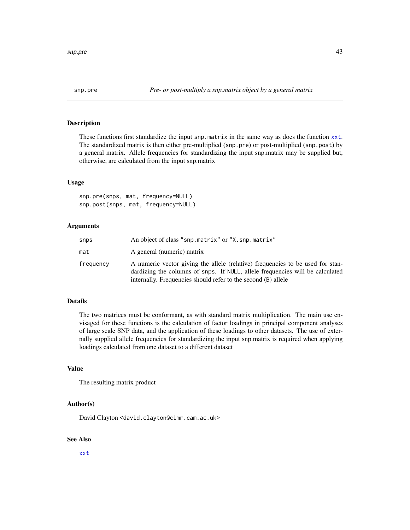<span id="page-42-0"></span>

# Description

These functions first standardize the input snp.matrix in the same way as does the function [xxt](#page-51-1). The standardized matrix is then either pre-multiplied (snp.pre) or post-multiplied (snp.post) by a general matrix. Allele frequencies for standardizing the input snp.matrix may be supplied but, otherwise, are calculated from the input snp.matrix

#### Usage

snp.pre(snps, mat, frequency=NULL) snp.post(snps, mat, frequency=NULL)

#### Arguments

| snps      | An object of class "snp.matrix" or "X.snp.matrix"                                                                                                                                                                                |
|-----------|----------------------------------------------------------------------------------------------------------------------------------------------------------------------------------------------------------------------------------|
| mat       | A general (numeric) matrix                                                                                                                                                                                                       |
| frequency | A numeric vector giving the allele (relative) frequencies to be used for stan-<br>dardizing the columns of snps. If NULL, allele frequencies will be calculated<br>internally. Frequencies should refer to the second (B) allele |

# Details

The two matrices must be conformant, as with standard matrix multiplication. The main use envisaged for these functions is the calculation of factor loadings in principal component analyses of large scale SNP data, and the application of these loadings to other datasets. The use of externally supplied allele frequencies for standardizing the input snp.matrix is required when applying loadings calculated from one dataset to a different dataset

# Value

The resulting matrix product

#### Author(s)

David Clayton <david.clayton@cimr.cam.ac.uk>

#### See Also

[xxt](#page-51-1)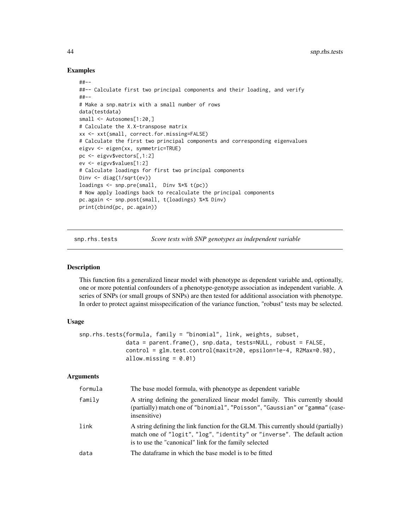# Examples

```
##--
##-- Calculate first two principal components and their loading, and verify
##--
# Make a snp.matrix with a small number of rows
data(testdata)
small <- Autosomes[1:20,]
# Calculate the X.X-transpose matrix
xx <- xxt(small, correct.for.missing=FALSE)
# Calculate the first two principal components and corresponding eigenvalues
eigvv <- eigen(xx, symmetric=TRUE)
pc <- eigvv$vectors[,1:2]
ev <- eigvv$values[1:2]
# Calculate loadings for first two principal components
Dinv <- diag(1/sqrt(ev))
loadings <- snp.pre(small, Dinv %*% t(pc))
# Now apply loadings back to recalculate the principal components
pc.again <- snp.post(small, t(loadings) %*% Dinv)
print(cbind(pc, pc.again))
```
<span id="page-43-1"></span>snp.rhs.tests *Score tests with SNP genotypes as independent variable*

#### Description

This function fits a generalized linear model with phenotype as dependent variable and, optionally, one or more potential confounders of a phenotype-genotype association as independent variable. A series of SNPs (or small groups of SNPs) are then tested for additional association with phenotype. In order to protect against misspecification of the variance function, "robust" tests may be selected.

#### Usage

```
snp.rhs.tests(formula, family = "binomial", link, weights, subset,
              data = parent.frame(), snp.data, tests=NULL, robust = FALSE,
              control = glm.test.control(maxit=20, epsilon=1e-4, R2Max=0.98),
              allow.missing = 0.01)
```
#### Arguments

| formula | The base model formula, with phenotype as dependent variable                                                                                                                                                             |
|---------|--------------------------------------------------------------------------------------------------------------------------------------------------------------------------------------------------------------------------|
| family  | A string defining the generalized linear model family. This currently should<br>(partially) match one of "binomial", "Poisson", "Gaussian" or "gamma" (case-<br>insensitive)                                             |
| link    | A string defining the link function for the GLM. This currently should (partially)<br>match one of "logit", "log", "identity" or "inverse". The default action<br>is to use the "canonical" link for the family selected |
| data    | The dataframe in which the base model is to be fitted                                                                                                                                                                    |

<span id="page-43-0"></span>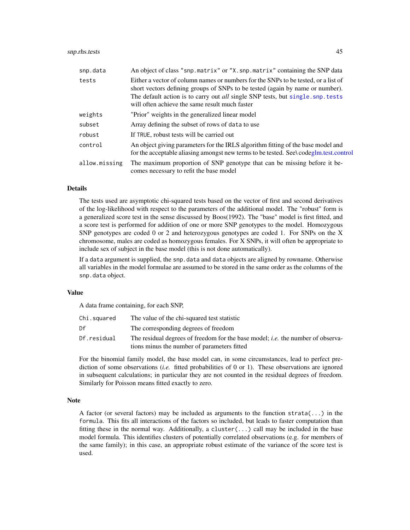# <span id="page-44-0"></span>snp.rhs.tests 45

| snp.data      | An object of class "snp.matrix" or "X.snp.matrix" containing the SNP data                                                                                                                                                                                                                                       |
|---------------|-----------------------------------------------------------------------------------------------------------------------------------------------------------------------------------------------------------------------------------------------------------------------------------------------------------------|
| tests         | Either a vector of column names or numbers for the SNPs to be tested, or a list of<br>short vectors defining groups of SNPs to be tested (again by name or number).<br>The default action is to carry out <i>all</i> single SNP tests, but single. snp. tests<br>will often achieve the same result much faster |
| weights       | "Prior" weights in the generalized linear model                                                                                                                                                                                                                                                                 |
| subset        | Array defining the subset of rows of data to use                                                                                                                                                                                                                                                                |
| robust        | If TRUE, robust tests will be carried out                                                                                                                                                                                                                                                                       |
| control       | An object giving parameters for the IRLS algorithm fitting of the base model and<br>for the acceptable aliasing amongst new terms to be tested. See\ codeglm.test.control                                                                                                                                       |
| allow.missing | The maximum proportion of SNP genotype that can be missing before it be-<br>comes necessary to refit the base model                                                                                                                                                                                             |

# Details

The tests used are asymptotic chi-squared tests based on the vector of first and second derivatives of the log-likelihood with respect to the parameters of the additional model. The "robust" form is a generalized score test in the sense discussed by Boos(1992). The "base" model is first fitted, and a score test is performed for addition of one or more SNP genotypes to the model. Homozygous SNP genotypes are coded 0 or 2 and heterozygous genotypes are coded 1. For SNPs on the X chromosome, males are coded as homozygous females. For X SNPs, it will often be appropriate to include sex of subject in the base model (this is not done automatically).

If a data argument is supplied, the snp.data and data objects are aligned by rowname. Otherwise all variables in the model formulae are assumed to be stored in the same order as the columns of the snp.data object.

#### Value

A data frame containing, for each SNP,

| Chi.squared | The value of the chi-squared test statistic                                            |
|-------------|----------------------------------------------------------------------------------------|
| Df          | The corresponding degrees of freedom                                                   |
| Df.residual | The residual degrees of freedom for the base model; <i>i.e.</i> the number of observa- |
|             | tions minus the number of parameters fitted                                            |

For the binomial family model, the base model can, in some circumstances, lead to perfect prediction of some observations (*i.e.* fitted probabilities of 0 or 1). These observations are ignored in subsequent calculations; in particular they are not counted in the residual degrees of freedom. Similarly for Poisson means fitted exactly to zero.

#### Note

A factor (or several factors) may be included as arguments to the function strata( $\dots$ ) in the formula. This fits all interactions of the factors so included, but leads to faster computation than fitting these in the normal way. Additionally, a cluster( $\ldots$ ) call may be included in the base model formula. This identifies clusters of potentially correlated observations (e.g. for members of the same family); in this case, an appropriate robust estimate of the variance of the score test is used.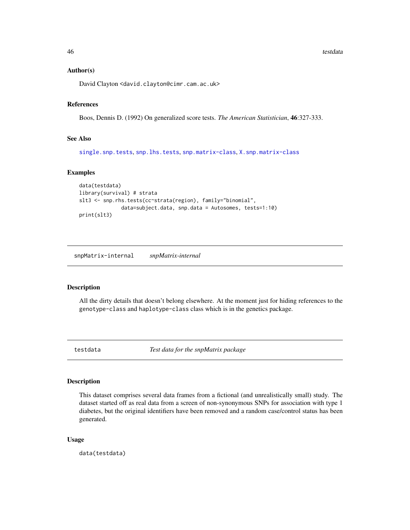<span id="page-45-0"></span>46 testdata and the set of the set of the set of the set of the set of the set of the set of the set of the set of the set of the set of the set of the set of the set of the set of the set of the set of the set of the set

#### Author(s)

David Clayton <david.clayton@cimr.cam.ac.uk>

#### References

Boos, Dennis D. (1992) On generalized score tests. *The American Statistician*, 46:327-333.

# See Also

[single.snp.tests](#page-30-1), [snp.lhs.tests](#page-38-1), [snp.matrix-class](#page-40-1), [X.snp.matrix-class](#page-49-1)

#### Examples

```
data(testdata)
library(survival) # strata
slt3 <- snp.rhs.tests(cc~strata(region), family="binomial",
              data=subject.data, snp.data = Autosomes, tests=1:10)
print(slt3)
```
snpMatrix-internal *snpMatrix-internal*

# Description

All the dirty details that doesn't belong elsewhere. At the moment just for hiding references to the genotype-class and haplotype-class class which is in the genetics package.

testdata *Test data for the snpMatrix package*

#### **Description**

This dataset comprises several data frames from a fictional (and unrealistically small) study. The dataset started off as real data from a screen of non-synonymous SNPs for association with type 1 diabetes, but the original identifiers have been removed and a random case/control status has been generated.

#### Usage

data(testdata)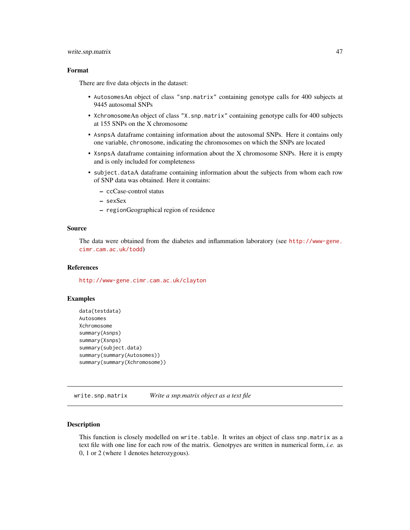# <span id="page-46-0"></span>write.snp.matrix 47

# Format

There are five data objects in the dataset:

- AutosomesAn object of class "snp.matrix" containing genotype calls for 400 subjects at 9445 autosomal SNPs
- XchromosomeAn object of class "X.snp.matrix" containing genotype calls for 400 subjects at 155 SNPs on the X chromosome
- AsnpsA dataframe containing information about the autosomal SNPs. Here it contains only one variable, chromosome, indicating the chromosomes on which the SNPs are located
- XsnpsA dataframe containing information about the X chromosome SNPs. Here it is empty and is only included for completeness
- subject.dataA dataframe containing information about the subjects from whom each row of SNP data was obtained. Here it contains:
	- ccCase-control status
	- sexSex
	- regionGeographical region of residence

# Source

The data were obtained from the diabetes and inflammation laboratory (see [http://www-gene.](http://www-gene.cimr.cam.ac.uk/todd) [cimr.cam.ac.uk/todd](http://www-gene.cimr.cam.ac.uk/todd))

#### References

<http://www-gene.cimr.cam.ac.uk/clayton>

# Examples

```
data(testdata)
Autosomes
Xchromosome
summary(Asnps)
summary(Xsnps)
summary(subject.data)
summary(summary(Autosomes))
summary(summary(Xchromosome))
```
write.snp.matrix *Write a snp.matrix object as a text file*

# **Description**

This function is closely modelled on write.table. It writes an object of class snp.matrix as a text file with one line for each row of the matrix. Genotpyes are written in numerical form, *i.e.* as 0, 1 or 2 (where 1 denotes heterozygous).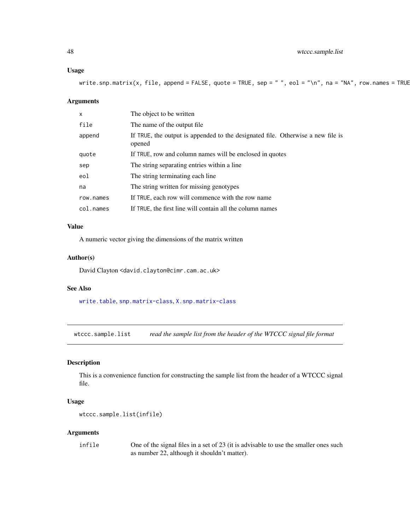#### <span id="page-47-0"></span>Usage

write.snp.matrix(x, file, append = FALSE, quote = TRUE, sep = " ", eol = "\n", na = "NA", row.names = TRUE

#### Arguments

| $\mathsf{x}$ | The object to be written                                                                  |
|--------------|-------------------------------------------------------------------------------------------|
| file         | The name of the output file.                                                              |
| append       | If TRUE, the output is appended to the designated file. Otherwise a new file is<br>opened |
| quote        | If TRUE, row and column names will be enclosed in quotes                                  |
| sep          | The string separating entries within a line                                               |
| eol          | The string terminating each line                                                          |
| na           | The string written for missing genotypes                                                  |
| row.names    | If TRUE, each row will commence with the row name                                         |
| col.names    | If TRUE, the first line will contain all the column names                                 |

# Value

A numeric vector giving the dimensions of the matrix written

# Author(s)

David Clayton <david.clayton@cimr.cam.ac.uk>

#### See Also

[write.table](#page-0-0), [snp.matrix-class](#page-40-1), [X.snp.matrix-class](#page-49-1)

<span id="page-47-1"></span>wtccc.sample.list *read the sample list from the header of the WTCCC signal file format*

# Description

This is a convenience function for constructing the sample list from the header of a WTCCC signal file.

# Usage

```
wtccc.sample.list(infile)
```
#### Arguments

infile One of the signal files in a set of 23 (it is advisable to use the smaller ones such as number 22, although it shouldn't matter).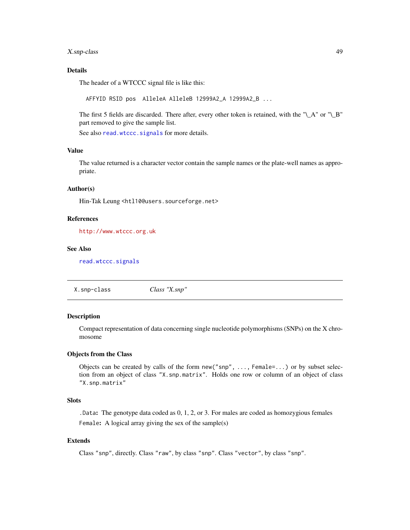# <span id="page-48-0"></span>X.snp-class 49

# Details

The header of a WTCCC signal file is like this:

AFFYID RSID pos AlleleA AlleleB 12999A2\_A 12999A2\_B ...

The first 5 fields are discarded. There after, every other token is retained, with the " $\Delta$ " or " $\Delta$ B" part removed to give the sample list.

See also [read.wtccc.signals](#page-28-1) for more details.

# Value

The value returned is a character vector contain the sample names or the plate-well names as appropriate.

#### Author(s)

Hin-Tak Leung <htl10@users.sourceforge.net>

# References

<http://www.wtccc.org.uk>

#### See Also

[read.wtccc.signals](#page-28-1)

<span id="page-48-1"></span>X.snp-class *Class "X.snp"*

# Description

Compact representation of data concerning single nucleotide polymorphisms (SNPs) on the X chromosome

#### Objects from the Class

Objects can be created by calls of the form new("snp", ..., Female=...) or by subset selection from an object of class "X.snp.matrix". Holds one row or column of an object of class "X.snp.matrix"

# Slots

.Data: The genotype data coded as 0, 1, 2, or 3. For males are coded as homozygious females Female: A logical array giving the sex of the sample(s)

# Extends

Class "snp", directly. Class "raw", by class "snp". Class "vector", by class "snp".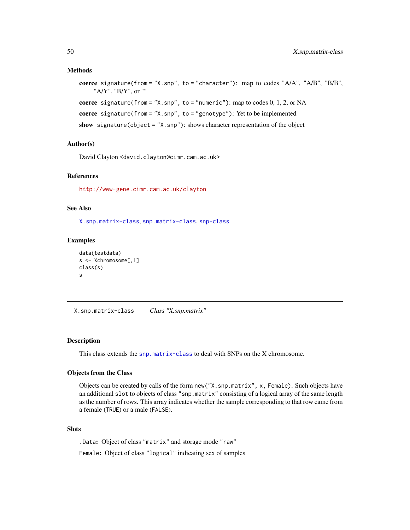#### <span id="page-49-0"></span>Methods

```
coerce signature(from = "X.snp", to = "character"): map to codes "A/A", "A/B", "B/B",
     "A/Y", "B/Y", or ""
```

```
coerce signature(from = "X.snp", to = "numeric"): map to codes 0, 1, 2, or NA
```

```
coerce signature(from = "X.snp", to = "genotype"): Yet to be implemented
```
show signature(object = "X.snp"): shows character representation of the object

# Author(s)

David Clayton <david.clayton@cimr.cam.ac.uk>

# References

<http://www-gene.cimr.cam.ac.uk/clayton>

#### See Also

[X.snp.matrix-class](#page-49-1), [snp.matrix-class](#page-40-1), [snp-class](#page-32-1)

#### Examples

```
data(testdata)
s <- Xchromosome[,1]
class(s)
s
```
<span id="page-49-1"></span>X.snp.matrix-class *Class "X.snp.matrix"*

#### Description

This class extends the [snp.matrix-class](#page-40-1) to deal with SNPs on the X chromosome.

#### Objects from the Class

Objects can be created by calls of the form new("X.snp.matrix", x, Female). Such objects have an additional slot to objects of class "snp.matrix" consisting of a logical array of the same length as the number of rows. This array indicates whether the sample corresponding to that row came from a female (TRUE) or a male (FALSE).

# **Slots**

.Data: Object of class "matrix" and storage mode "raw" Female: Object of class "logical" indicating sex of samples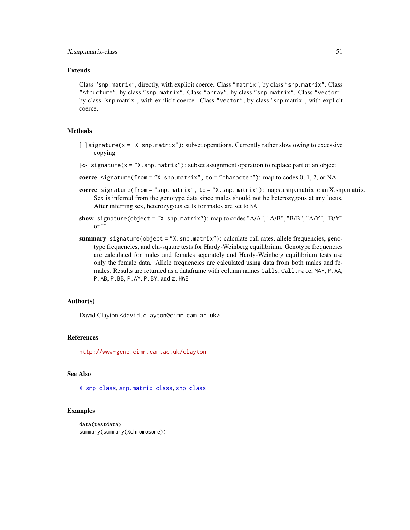# Extends

Class "snp.matrix", directly, with explicit coerce. Class "matrix", by class "snp.matrix". Class "structure", by class "snp.matrix". Class "array", by class "snp.matrix". Class "vector", by class "snp.matrix", with explicit coerce. Class "vector", by class "snp.matrix", with explicit coerce.

#### Methods

- $\lceil$  signature(x = "X, snp.matrix"): subset operations. Currently rather slow owing to excessive copying
- [<- signature(x = "X.snp.matrix"): subset assignment operation to replace part of an object
- coerce signature(from = "X.snp.matrix", to = "character"): map to codes  $0, 1, 2$ , or NA
- coerce signature(from = "snp.matrix", to = "X.snp.matrix"): maps a snp.matrix to an X.snp.matrix. Sex is inferred from the genotype data since males should not be heterozygous at any locus. After inferring sex, heterozygous calls for males are set to NA
- show signature(object = "X.snp.matrix"): map to codes "A/A", "A/B", "B/B", "A/Y", "B/Y" or ""
- summary signature(object = "X.snp.matrix"): calculate call rates, allele frequencies, genotype frequencies, and chi-square tests for Hardy-Weinberg equilibrium. Genotype frequencies are calculated for males and females separately and Hardy-Weinberg equilibrium tests use only the female data. Allele frequencies are calculated using data from both males and females. Results are returned as a dataframe with column names Calls, Call.rate, MAF, P.AA, P.AB, P.BB, P.AY, P.BY, and z.HWE

#### Author(s)

David Clayton <david.clayton@cimr.cam.ac.uk>

#### References

<http://www-gene.cimr.cam.ac.uk/clayton>

# See Also

[X.snp-class](#page-48-1), [snp.matrix-class](#page-40-1), [snp-class](#page-32-1)

#### Examples

```
data(testdata)
summary(summary(Xchromosome))
```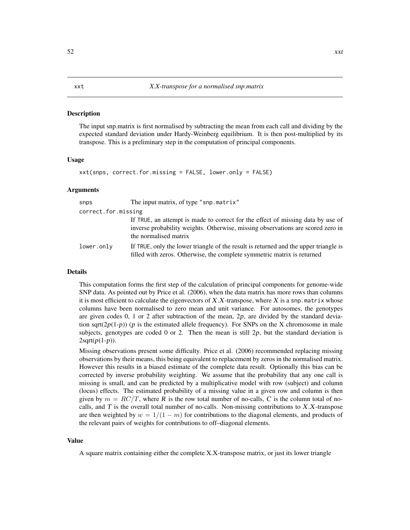#### <span id="page-51-1"></span><span id="page-51-0"></span>**Description**

The input snp.matrix is first normalised by subtracting the mean from each call and dividing by the expected standard deviation under Hardy-Weinberg equilibrium. It is then post-multiplied by its transpose. This is a preliminary step in the computation of principal components.

#### Usage

```
xxt(snps, correct.for.missing = FALSE, lower.only = FALSE)
```
#### Arguments

| snps                | The input matrix, of type "snp.matrix"                                                                                                                                                      |
|---------------------|---------------------------------------------------------------------------------------------------------------------------------------------------------------------------------------------|
| correct.for.missing |                                                                                                                                                                                             |
|                     | If TRUE, an attempt is made to correct for the effect of missing data by use of<br>inverse probability weights. Otherwise, missing observations are scored zero in<br>the normalised matrix |
| lower.only          | If TRUE, only the lower triangle of the result is returned and the upper triangle is<br>filled with zeros. Otherwise, the complete symmetric matrix is returned                             |

#### Details

This computation forms the first step of the calculation of principal components for genome-wide SNP data. As pointed out by Price et al. (2006), when the data matrix has more rows than columns it is most efficient to calculate the eigenvectors of  $X.X$ -transpose, where X is a snp.matrix whose columns have been normalised to zero mean and unit variance. For autosomes, the genotypes are given codes 0, 1 or 2 after subtraction of the mean, 2p, are divided by the standard deviation sqrt( $2p(1-p)$ ) (p is the estimated allele frequency). For SNPs on the X chromosome in male subjects, genotypes are coded 0 or 2. Then the mean is still  $2p$ , but the standard deviation is  $2\sqrt{p(1-p)}$ .

Missing observations present some difficulty. Price et al. (2006) recommended replacing missing observations by their means, this being equivalent to replacement by zeros in the normalised matrix. However this results in a biased estimate of the complete data result. Optionally this bias can be corrected by inverse probability weighting. We assume that the probability that any one call is missing is small, and can be predicted by a multiplicative model with row (subject) and column (locus) effects. The estimated probability of a missing value in a given row and column is then given by  $m = RC/T$ , where R is the row total number of no-calls, C is the column total of nocalls, and  $T$  is the overall total number of no-calls. Non-missing contributions to  $X.X$ -transpose are then weighted by  $w = 1/(1 - m)$  for contributions to the diagonal elements, and products of the relevant pairs of weights for contributions to off–diagonal elements.

#### Value

A square matrix containing either the complete X.X-transpose matrix, or just its lower triangle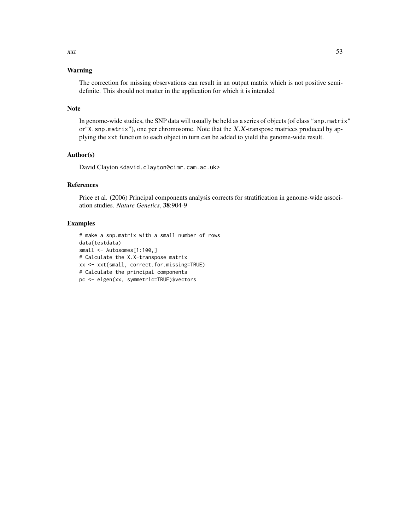# Warning

The correction for missing observations can result in an output matrix which is not positive semidefinite. This should not matter in the application for which it is intended

#### Note

In genome-wide studies, the SNP data will usually be held as a series of objects (of class "snp.matrix" or"X.snp.matrix"), one per chromosome. Note that the X.X-transpose matrices produced by applying the xxt function to each object in turn can be added to yield the genome-wide result.

#### Author(s)

David Clayton <david.clayton@cimr.cam.ac.uk>

#### References

Price et al. (2006) Principal components analysis corrects for stratification in genome-wide association studies. *Nature Genetics*, 38:904-9

#### Examples

```
# make a snp.matrix with a small number of rows
data(testdata)
small <- Autosomes[1:100,]
# Calculate the X.X-transpose matrix
xx <- xxt(small, correct.for.missing=TRUE)
# Calculate the principal components
pc <- eigen(xx, symmetric=TRUE)$vectors
```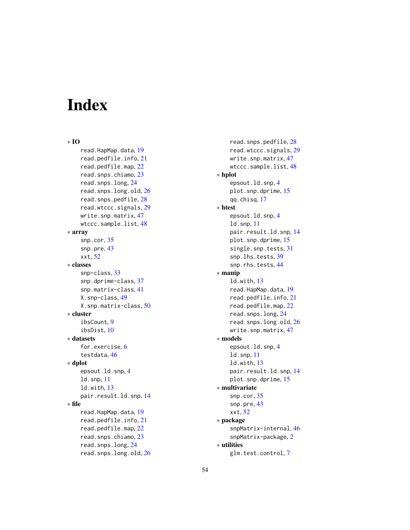# <span id="page-53-0"></span>Index

∗ IO read.HapMap.data, [19](#page-18-0) read.pedfile.info, [21](#page-20-0) read.pedfile.map, [22](#page-21-0) read.snps.chiamo, [23](#page-22-0) read.snps.long, [24](#page-23-0) read.snps.long.old, [26](#page-25-0) read.snps.pedfile, [28](#page-27-0) read.wtccc.signals, [29](#page-28-0) write.snp.matrix, [47](#page-46-0) wtccc.sample.list, [48](#page-47-0) ∗ array snp.cor, [35](#page-34-0) snp.pre, [43](#page-42-0) xxt, [52](#page-51-0) ∗ classes snp-class, [33](#page-32-0) snp.dprime-class, [37](#page-36-0) snp.matrix-class, [41](#page-40-0) X.snp-class, [49](#page-48-0) X.snp.matrix-class, [50](#page-49-0) ∗ cluster ibsCount, [9](#page-8-0) ibsDist, [10](#page-9-0) ∗ datasets for.exercise, [6](#page-5-0) testdata, [46](#page-45-0) ∗ dplot epsout.ld.snp, [4](#page-3-0) ld.snp, [11](#page-10-0) ld.with, [13](#page-12-0) pair.result.ld.snp, [14](#page-13-0) ∗ file read.HapMap.data, [19](#page-18-0) read.pedfile.info, [21](#page-20-0) read.pedfile.map, [22](#page-21-0) read.snps.chiamo, [23](#page-22-0) read.snps.long, [24](#page-23-0) read.snps.long.old, [26](#page-25-0)

read.snps.pedfile, [28](#page-27-0) read.wtccc.signals, [29](#page-28-0) write.snp.matrix, [47](#page-46-0) wtccc.sample.list, [48](#page-47-0) ∗ hplot epsout.ld.snp, [4](#page-3-0) plot.snp.dprime, [15](#page-14-0) qq.chisq, [17](#page-16-0) ∗ htest epsout.ld.snp, [4](#page-3-0) ld.snp, [11](#page-10-0) pair.result.ld.snp, [14](#page-13-0) plot.snp.dprime, [15](#page-14-0) single.snp.tests, [31](#page-30-0) snp.lhs.tests, [39](#page-38-0) snp.rhs.tests, [44](#page-43-0) ∗ manip ld.with, [13](#page-12-0) read.HapMap.data, [19](#page-18-0) read.pedfile.info, [21](#page-20-0) read.pedfile.map, [22](#page-21-0) read.snps.long, [24](#page-23-0) read.snps.long.old, [26](#page-25-0) write.snp.matrix, [47](#page-46-0) ∗ models epsout.ld.snp, [4](#page-3-0) ld.snp, [11](#page-10-0) ld.with, [13](#page-12-0) pair.result.ld.snp, [14](#page-13-0) plot.snp.dprime, [15](#page-14-0) ∗ multivariate snp.cor, [35](#page-34-0) snp.pre, [43](#page-42-0) xxt, [52](#page-51-0) ∗ package snpMatrix-internal, [46](#page-45-0) snpMatrix-package, [2](#page-1-0) ∗ utilities glm.test.control, [7](#page-6-0)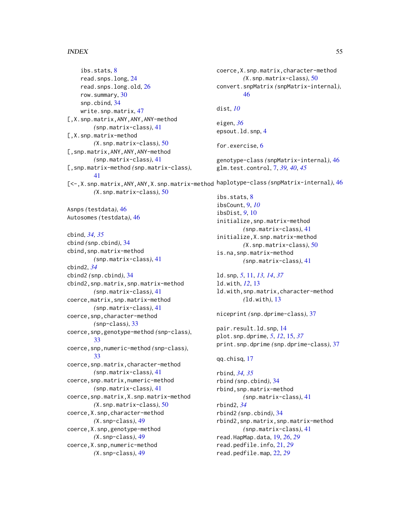#### INDEX 55

ibs.stats, [8](#page-7-0) read.snps.long, [24](#page-23-0) read.snps.long.old, [26](#page-25-0) row.summary, [30](#page-29-0) snp.cbind, [34](#page-33-0) write.snp.matrix, [47](#page-46-0) [,X.snp.matrix,ANY,ANY,ANY-method *(*snp.matrix-class*)*, [41](#page-40-0) [,X.snp.matrix-method *(*X.snp.matrix-class*)*, [50](#page-49-0) [,snp.matrix,ANY,ANY,ANY-method *(*snp.matrix-class*)*, [41](#page-40-0) [,snp.matrix-method *(*snp.matrix-class*)*, [41](#page-40-0) [<-,X.snp.matrix,ANY,ANY,X.snp.matrix-method haplotype-class *(*snpMatrix-internal*)*, [46](#page-45-0) *(*X.snp.matrix-class*)*, [50](#page-49-0) Asnps *(*testdata*)*, [46](#page-45-0) Autosomes *(*testdata*)*, [46](#page-45-0) cbind, *[34,](#page-33-0) [35](#page-34-0)* cbind *(*snp.cbind*)*, [34](#page-33-0) cbind,snp.matrix-method *(*snp.matrix-class*)*, [41](#page-40-0) cbind2, *[34](#page-33-0)* cbind2 *(*snp.cbind*)*, [34](#page-33-0) cbind2,snp.matrix,snp.matrix-method *(*snp.matrix-class*)*, [41](#page-40-0) coerce,matrix,snp.matrix-method *(*snp.matrix-class*)*, [41](#page-40-0) coerce,snp,character-method *(*snp-class*)*, [33](#page-32-0) coerce,snp,genotype-method *(*snp-class*)*, [33](#page-32-0) coerce,snp,numeric-method *(*snp-class*)*, [33](#page-32-0) coerce,snp.matrix,character-method *(*snp.matrix-class*)*, [41](#page-40-0) coerce,snp.matrix,numeric-method *(*snp.matrix-class*)*, [41](#page-40-0) coerce,snp.matrix,X.snp.matrix-method *(*X.snp.matrix-class*)*, [50](#page-49-0) coerce,X.snp,character-method *(*X.snp-class*)*, [49](#page-48-0) coerce,X.snp,genotype-method *(*X.snp-class*)*, [49](#page-48-0) coerce,X.snp,numeric-method *(*X.snp-class*)*, [49](#page-48-0) coerce,X.snp.matrix,character-method *(*X.snp.matrix-class*)*, [50](#page-49-0) convert.snpMatrix *(*snpMatrix-internal*)*, [46](#page-45-0) dist, *[10](#page-9-0)* eigen, *[36](#page-35-0)* epsout.ld.snp, [4](#page-3-0) for.exercise, [6](#page-5-0) genotype-class *(*snpMatrix-internal*)*, [46](#page-45-0) glm.test.control, [7,](#page-6-0) *[39,](#page-38-0) [40](#page-39-0)*, *[45](#page-44-0)* ibs.stats, [8](#page-7-0) ibsCount, [9,](#page-8-0) *[10](#page-9-0)* ibsDist, *[9](#page-8-0)*, [10](#page-9-0) initialize,snp.matrix-method *(*snp.matrix-class*)*, [41](#page-40-0) initialize,X.snp.matrix-method *(*X.snp.matrix-class*)*, [50](#page-49-0) is.na,snp.matrix-method *(*snp.matrix-class*)*, [41](#page-40-0) ld.snp, *[5](#page-4-0)*, [11,](#page-10-0) *[13,](#page-12-0) [14](#page-13-0)*, *[37](#page-36-0)* ld.with, *[12](#page-11-0)*, [13](#page-12-0) ld.with,snp.matrix,character-method *(*ld.with*)*, [13](#page-12-0) niceprint *(*snp.dprime-class*)*, [37](#page-36-0) pair.result.ld.snp, [14](#page-13-0) plot.snp.dprime, *[5](#page-4-0)*, *[12](#page-11-0)*, [15,](#page-14-0) *[37](#page-36-0)* print.snp.dprime *(*snp.dprime-class*)*, [37](#page-36-0) qq.chisq, [17](#page-16-0) rbind, *[34,](#page-33-0) [35](#page-34-0)* rbind *(*snp.cbind*)*, [34](#page-33-0) rbind,snp.matrix-method *(*snp.matrix-class*)*, [41](#page-40-0) rbind2, *[34](#page-33-0)* rbind2 *(*snp.cbind*)*, [34](#page-33-0) rbind2,snp.matrix,snp.matrix-method *(*snp.matrix-class*)*, [41](#page-40-0) read.HapMap.data, [19,](#page-18-0) *[26](#page-25-0)*, *[29](#page-28-0)* read.pedfile.info, [21,](#page-20-0) *[29](#page-28-0)* read.pedfile.map, [22,](#page-21-0) *[29](#page-28-0)*